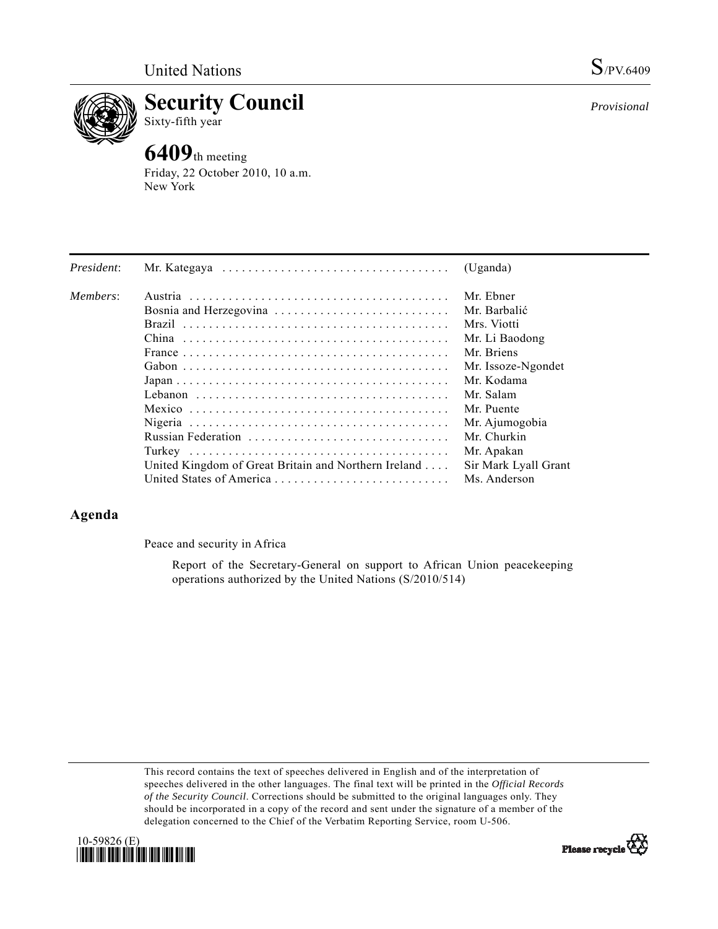

**Security Council**  Sixty-fifth year

# **6409**th meeting

Friday, 22 October 2010, 10 a.m. New York

| President: |                                                                                                         | (Uganda)             |
|------------|---------------------------------------------------------------------------------------------------------|----------------------|
| Members:   |                                                                                                         | Mr. Ebner            |
|            | Bosnia and Herzegovina                                                                                  | Mr. Barbalić         |
|            |                                                                                                         | Mrs. Viotti          |
|            |                                                                                                         | Mr. Li Baodong       |
|            |                                                                                                         | Mr. Briens           |
|            |                                                                                                         | Mr. Issoze-Ngondet   |
|            | $Japan \dots \dots \dots \dots \dots \dots \dots \dots \dots \dots \dots \dots \dots \dots \dots \dots$ | Mr. Kodama           |
|            |                                                                                                         | Mr. Salam            |
|            |                                                                                                         | Mr. Puente           |
|            |                                                                                                         | Mr. Ajumogobia       |
|            |                                                                                                         | Mr. Churkin          |
|            |                                                                                                         | Mr. Apakan           |
|            | United Kingdom of Great Britain and Northern Ireland                                                    | Sir Mark Lyall Grant |
|            |                                                                                                         | Ms. Anderson         |

## **Agenda**

Peace and security in Africa

 Report of the Secretary-General on support to African Union peacekeeping operations authorized by the United Nations (S/2010/514)

This record contains the text of speeches delivered in English and of the interpretation of speeches delivered in the other languages. The final text will be printed in the *Official Records of the Security Council*. Corrections should be submitted to the original languages only. They should be incorporated in a copy of the record and sent under the signature of a member of the delegation concerned to the Chief of the Verbatim Reporting Service, room U-506.





*Provisional*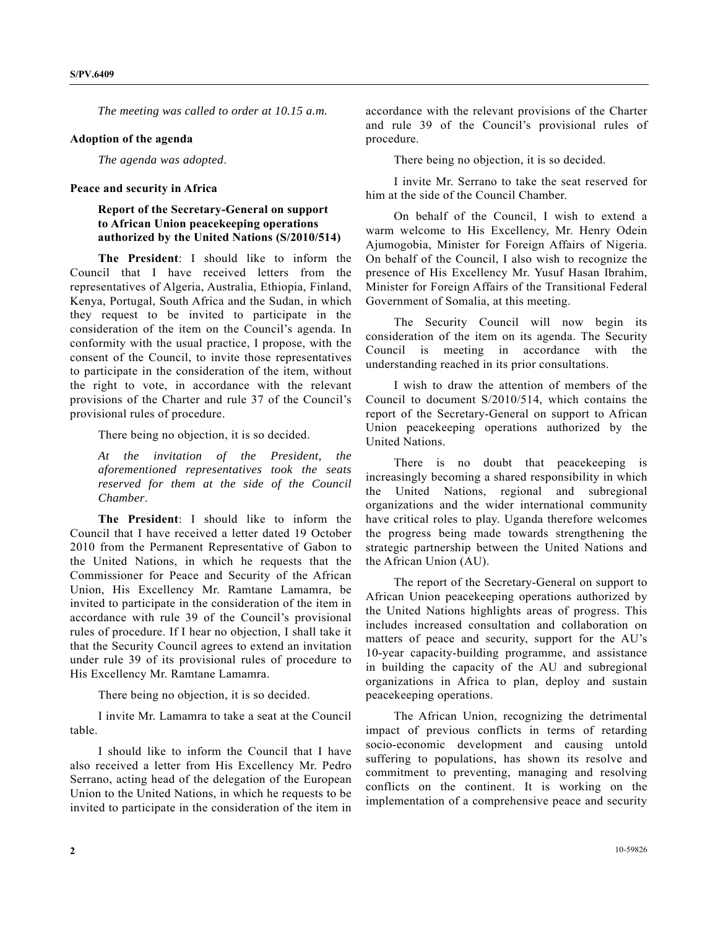*The meeting was called to order at 10.15 a.m.* 

#### **Adoption of the agenda**

*The agenda was adopted*.

#### **Peace and security in Africa**

### **Report of the Secretary-General on support to African Union peacekeeping operations authorized by the United Nations (S/2010/514)**

**The President**: I should like to inform the Council that I have received letters from the representatives of Algeria, Australia, Ethiopia, Finland, Kenya, Portugal, South Africa and the Sudan, in which they request to be invited to participate in the consideration of the item on the Council's agenda. In conformity with the usual practice, I propose, with the consent of the Council, to invite those representatives to participate in the consideration of the item, without the right to vote, in accordance with the relevant provisions of the Charter and rule 37 of the Council's provisional rules of procedure.

There being no objection, it is so decided.

*At the invitation of the President, the aforementioned representatives took the seats reserved for them at the side of the Council Chamber*.

**The President**: I should like to inform the Council that I have received a letter dated 19 October 2010 from the Permanent Representative of Gabon to the United Nations, in which he requests that the Commissioner for Peace and Security of the African Union, His Excellency Mr. Ramtane Lamamra, be invited to participate in the consideration of the item in accordance with rule 39 of the Council's provisional rules of procedure. If I hear no objection, I shall take it that the Security Council agrees to extend an invitation under rule 39 of its provisional rules of procedure to His Excellency Mr. Ramtane Lamamra.

There being no objection, it is so decided.

 I invite Mr. Lamamra to take a seat at the Council table.

 I should like to inform the Council that I have also received a letter from His Excellency Mr. Pedro Serrano, acting head of the delegation of the European Union to the United Nations, in which he requests to be invited to participate in the consideration of the item in

accordance with the relevant provisions of the Charter and rule 39 of the Council's provisional rules of procedure.

There being no objection, it is so decided.

 I invite Mr. Serrano to take the seat reserved for him at the side of the Council Chamber.

 On behalf of the Council, I wish to extend a warm welcome to His Excellency, Mr. Henry Odein Ajumogobia, Minister for Foreign Affairs of Nigeria. On behalf of the Council, I also wish to recognize the presence of His Excellency Mr. Yusuf Hasan Ibrahim, Minister for Foreign Affairs of the Transitional Federal Government of Somalia, at this meeting.

 The Security Council will now begin its consideration of the item on its agenda. The Security Council is meeting in accordance with the understanding reached in its prior consultations.

 I wish to draw the attention of members of the Council to document S/2010/514, which contains the report of the Secretary-General on support to African Union peacekeeping operations authorized by the United Nations.

 There is no doubt that peacekeeping is increasingly becoming a shared responsibility in which the United Nations, regional and subregional organizations and the wider international community have critical roles to play. Uganda therefore welcomes the progress being made towards strengthening the strategic partnership between the United Nations and the African Union (AU).

 The report of the Secretary-General on support to African Union peacekeeping operations authorized by the United Nations highlights areas of progress. This includes increased consultation and collaboration on matters of peace and security, support for the AU's 10-year capacity-building programme, and assistance in building the capacity of the AU and subregional organizations in Africa to plan, deploy and sustain peacekeeping operations.

 The African Union, recognizing the detrimental impact of previous conflicts in terms of retarding socio-economic development and causing untold suffering to populations, has shown its resolve and commitment to preventing, managing and resolving conflicts on the continent. It is working on the implementation of a comprehensive peace and security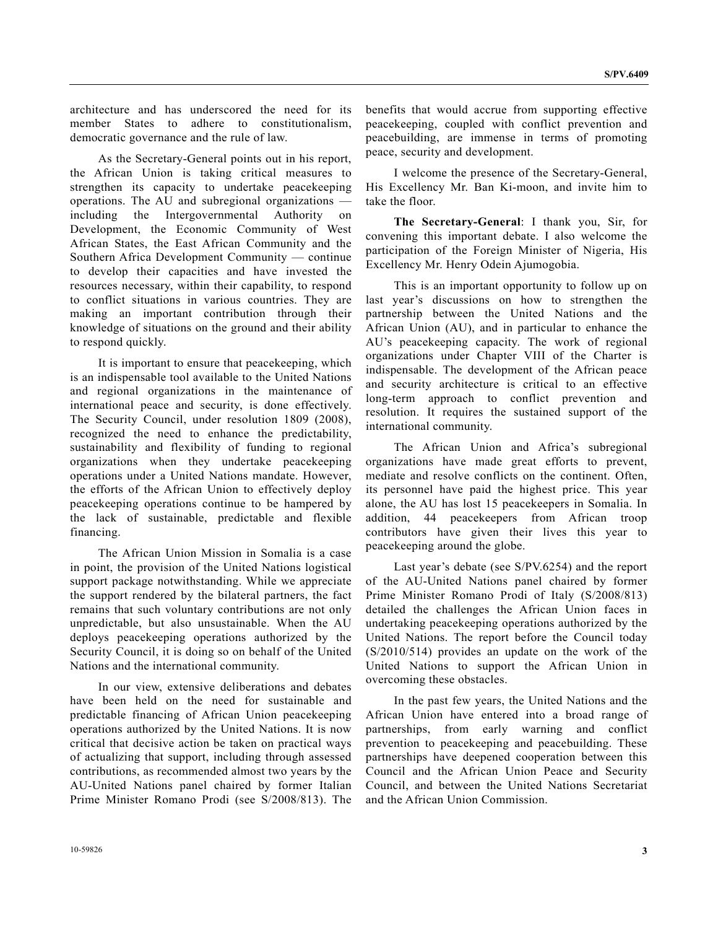architecture and has underscored the need for its member States to adhere to constitutionalism, democratic governance and the rule of law.

 As the Secretary-General points out in his report, the African Union is taking critical measures to strengthen its capacity to undertake peacekeeping operations. The AU and subregional organizations including the Intergovernmental Authority on Development, the Economic Community of West African States, the East African Community and the Southern Africa Development Community — continue to develop their capacities and have invested the resources necessary, within their capability, to respond to conflict situations in various countries. They are making an important contribution through their knowledge of situations on the ground and their ability to respond quickly.

 It is important to ensure that peacekeeping, which is an indispensable tool available to the United Nations and regional organizations in the maintenance of international peace and security, is done effectively. The Security Council, under resolution 1809 (2008), recognized the need to enhance the predictability, sustainability and flexibility of funding to regional organizations when they undertake peacekeeping operations under a United Nations mandate. However, the efforts of the African Union to effectively deploy peacekeeping operations continue to be hampered by the lack of sustainable, predictable and flexible financing.

 The African Union Mission in Somalia is a case in point, the provision of the United Nations logistical support package notwithstanding. While we appreciate the support rendered by the bilateral partners, the fact remains that such voluntary contributions are not only unpredictable, but also unsustainable. When the AU deploys peacekeeping operations authorized by the Security Council, it is doing so on behalf of the United Nations and the international community.

 In our view, extensive deliberations and debates have been held on the need for sustainable and predictable financing of African Union peacekeeping operations authorized by the United Nations. It is now critical that decisive action be taken on practical ways of actualizing that support, including through assessed contributions, as recommended almost two years by the AU-United Nations panel chaired by former Italian Prime Minister Romano Prodi (see S/2008/813). The benefits that would accrue from supporting effective peacekeeping, coupled with conflict prevention and peacebuilding, are immense in terms of promoting peace, security and development.

 I welcome the presence of the Secretary-General, His Excellency Mr. Ban Ki-moon, and invite him to take the floor.

**The Secretary-General**: I thank you, Sir, for convening this important debate. I also welcome the participation of the Foreign Minister of Nigeria, His Excellency Mr. Henry Odein Ajumogobia.

 This is an important opportunity to follow up on last year's discussions on how to strengthen the partnership between the United Nations and the African Union (AU), and in particular to enhance the AU's peacekeeping capacity. The work of regional organizations under Chapter VIII of the Charter is indispensable. The development of the African peace and security architecture is critical to an effective long-term approach to conflict prevention and resolution. It requires the sustained support of the international community.

 The African Union and Africa's subregional organizations have made great efforts to prevent, mediate and resolve conflicts on the continent. Often, its personnel have paid the highest price. This year alone, the AU has lost 15 peacekeepers in Somalia. In addition, 44 peacekeepers from African troop contributors have given their lives this year to peacekeeping around the globe.

 Last year's debate (see S/PV.6254) and the report of the AU-United Nations panel chaired by former Prime Minister Romano Prodi of Italy (S/2008/813) detailed the challenges the African Union faces in undertaking peacekeeping operations authorized by the United Nations. The report before the Council today (S/2010/514) provides an update on the work of the United Nations to support the African Union in overcoming these obstacles.

 In the past few years, the United Nations and the African Union have entered into a broad range of partnerships, from early warning and conflict prevention to peacekeeping and peacebuilding. These partnerships have deepened cooperation between this Council and the African Union Peace and Security Council, and between the United Nations Secretariat and the African Union Commission.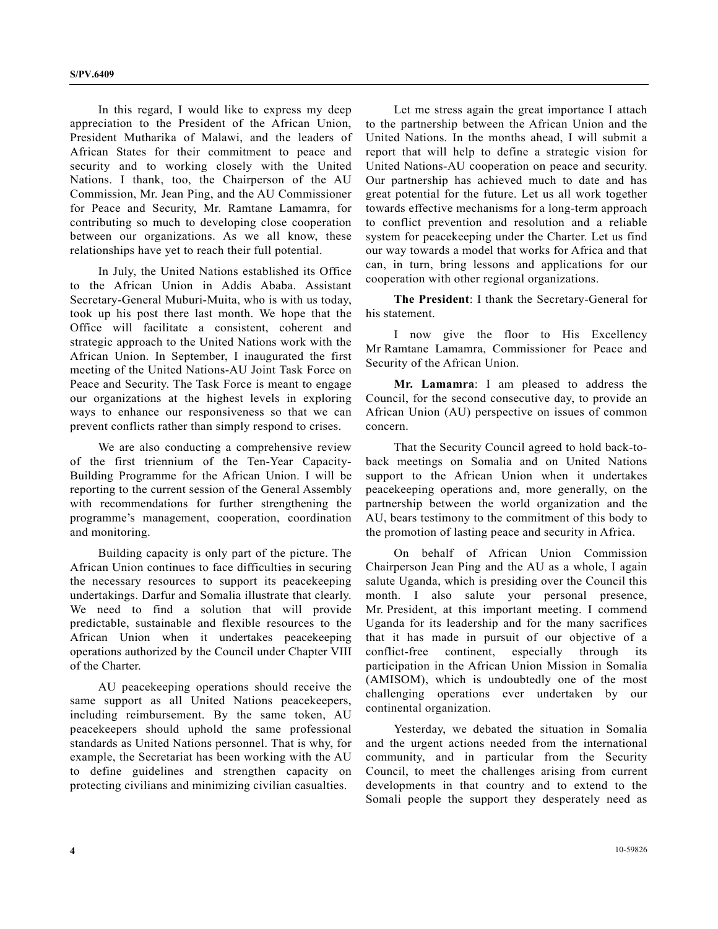In this regard, I would like to express my deep appreciation to the President of the African Union, President Mutharika of Malawi, and the leaders of African States for their commitment to peace and security and to working closely with the United Nations. I thank, too, the Chairperson of the AU Commission, Mr. Jean Ping, and the AU Commissioner for Peace and Security, Mr. Ramtane Lamamra, for contributing so much to developing close cooperation between our organizations. As we all know, these relationships have yet to reach their full potential.

 In July, the United Nations established its Office to the African Union in Addis Ababa. Assistant Secretary-General Muburi-Muita, who is with us today, took up his post there last month. We hope that the Office will facilitate a consistent, coherent and strategic approach to the United Nations work with the African Union. In September, I inaugurated the first meeting of the United Nations-AU Joint Task Force on Peace and Security. The Task Force is meant to engage our organizations at the highest levels in exploring ways to enhance our responsiveness so that we can prevent conflicts rather than simply respond to crises.

 We are also conducting a comprehensive review of the first triennium of the Ten-Year Capacity-Building Programme for the African Union. I will be reporting to the current session of the General Assembly with recommendations for further strengthening the programme's management, cooperation, coordination and monitoring.

 Building capacity is only part of the picture. The African Union continues to face difficulties in securing the necessary resources to support its peacekeeping undertakings. Darfur and Somalia illustrate that clearly. We need to find a solution that will provide predictable, sustainable and flexible resources to the African Union when it undertakes peacekeeping operations authorized by the Council under Chapter VIII of the Charter.

 AU peacekeeping operations should receive the same support as all United Nations peacekeepers, including reimbursement. By the same token, AU peacekeepers should uphold the same professional standards as United Nations personnel. That is why, for example, the Secretariat has been working with the AU to define guidelines and strengthen capacity on protecting civilians and minimizing civilian casualties.

 Let me stress again the great importance I attach to the partnership between the African Union and the United Nations. In the months ahead, I will submit a report that will help to define a strategic vision for United Nations-AU cooperation on peace and security. Our partnership has achieved much to date and has great potential for the future. Let us all work together towards effective mechanisms for a long-term approach to conflict prevention and resolution and a reliable system for peacekeeping under the Charter. Let us find our way towards a model that works for Africa and that can, in turn, bring lessons and applications for our cooperation with other regional organizations.

**The President**: I thank the Secretary-General for his statement.

 I now give the floor to His Excellency Mr Ramtane Lamamra, Commissioner for Peace and Security of the African Union.

**Mr. Lamamra**: I am pleased to address the Council, for the second consecutive day, to provide an African Union (AU) perspective on issues of common concern.

 That the Security Council agreed to hold back-toback meetings on Somalia and on United Nations support to the African Union when it undertakes peacekeeping operations and, more generally, on the partnership between the world organization and the AU, bears testimony to the commitment of this body to the promotion of lasting peace and security in Africa.

 On behalf of African Union Commission Chairperson Jean Ping and the AU as a whole, I again salute Uganda, which is presiding over the Council this month. I also salute your personal presence, Mr. President, at this important meeting. I commend Uganda for its leadership and for the many sacrifices that it has made in pursuit of our objective of a conflict-free continent, especially through its participation in the African Union Mission in Somalia (AMISOM), which is undoubtedly one of the most challenging operations ever undertaken by our continental organization.

 Yesterday, we debated the situation in Somalia and the urgent actions needed from the international community, and in particular from the Security Council, to meet the challenges arising from current developments in that country and to extend to the Somali people the support they desperately need as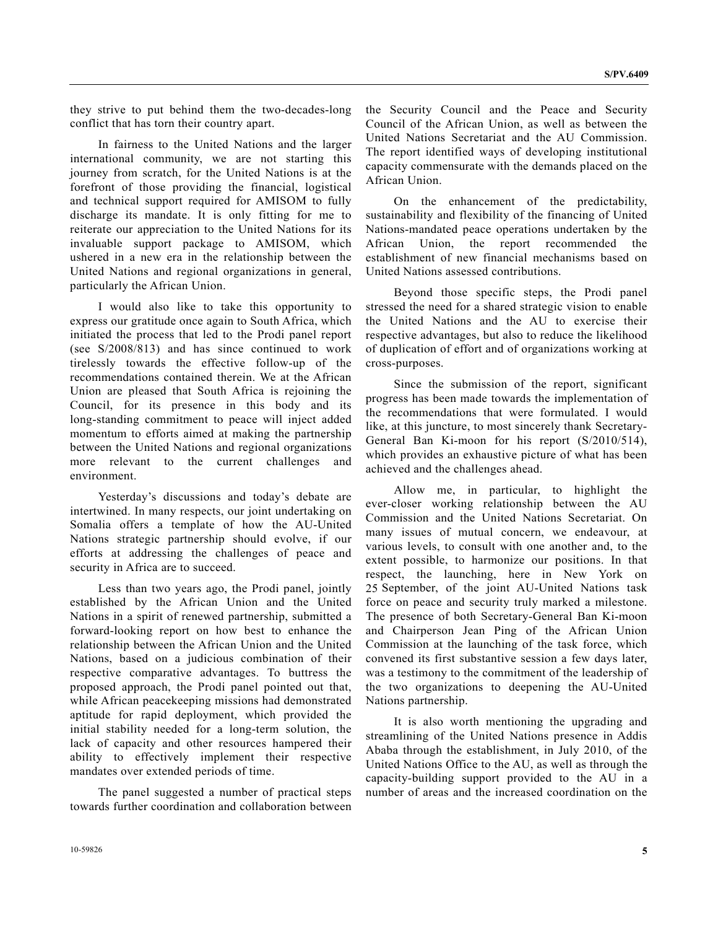they strive to put behind them the two-decades-long conflict that has torn their country apart.

 In fairness to the United Nations and the larger international community, we are not starting this journey from scratch, for the United Nations is at the forefront of those providing the financial, logistical and technical support required for AMISOM to fully discharge its mandate. It is only fitting for me to reiterate our appreciation to the United Nations for its invaluable support package to AMISOM, which ushered in a new era in the relationship between the United Nations and regional organizations in general, particularly the African Union.

 I would also like to take this opportunity to express our gratitude once again to South Africa, which initiated the process that led to the Prodi panel report (see S/2008/813) and has since continued to work tirelessly towards the effective follow-up of the recommendations contained therein. We at the African Union are pleased that South Africa is rejoining the Council, for its presence in this body and its long-standing commitment to peace will inject added momentum to efforts aimed at making the partnership between the United Nations and regional organizations more relevant to the current challenges and environment.

 Yesterday's discussions and today's debate are intertwined. In many respects, our joint undertaking on Somalia offers a template of how the AU-United Nations strategic partnership should evolve, if our efforts at addressing the challenges of peace and security in Africa are to succeed.

 Less than two years ago, the Prodi panel, jointly established by the African Union and the United Nations in a spirit of renewed partnership, submitted a forward-looking report on how best to enhance the relationship between the African Union and the United Nations, based on a judicious combination of their respective comparative advantages. To buttress the proposed approach, the Prodi panel pointed out that, while African peacekeeping missions had demonstrated aptitude for rapid deployment, which provided the initial stability needed for a long-term solution, the lack of capacity and other resources hampered their ability to effectively implement their respective mandates over extended periods of time.

 The panel suggested a number of practical steps towards further coordination and collaboration between the Security Council and the Peace and Security Council of the African Union, as well as between the United Nations Secretariat and the AU Commission. The report identified ways of developing institutional capacity commensurate with the demands placed on the African Union.

 On the enhancement of the predictability, sustainability and flexibility of the financing of United Nations-mandated peace operations undertaken by the African Union, the report recommended the establishment of new financial mechanisms based on United Nations assessed contributions.

 Beyond those specific steps, the Prodi panel stressed the need for a shared strategic vision to enable the United Nations and the AU to exercise their respective advantages, but also to reduce the likelihood of duplication of effort and of organizations working at cross-purposes.

 Since the submission of the report, significant progress has been made towards the implementation of the recommendations that were formulated. I would like, at this juncture, to most sincerely thank Secretary-General Ban Ki-moon for his report (S/2010/514), which provides an exhaustive picture of what has been achieved and the challenges ahead.

 Allow me, in particular, to highlight the ever-closer working relationship between the AU Commission and the United Nations Secretariat. On many issues of mutual concern, we endeavour, at various levels, to consult with one another and, to the extent possible, to harmonize our positions. In that respect, the launching, here in New York on 25 September, of the joint AU-United Nations task force on peace and security truly marked a milestone. The presence of both Secretary-General Ban Ki-moon and Chairperson Jean Ping of the African Union Commission at the launching of the task force, which convened its first substantive session a few days later, was a testimony to the commitment of the leadership of the two organizations to deepening the AU-United Nations partnership.

 It is also worth mentioning the upgrading and streamlining of the United Nations presence in Addis Ababa through the establishment, in July 2010, of the United Nations Office to the AU, as well as through the capacity-building support provided to the AU in a number of areas and the increased coordination on the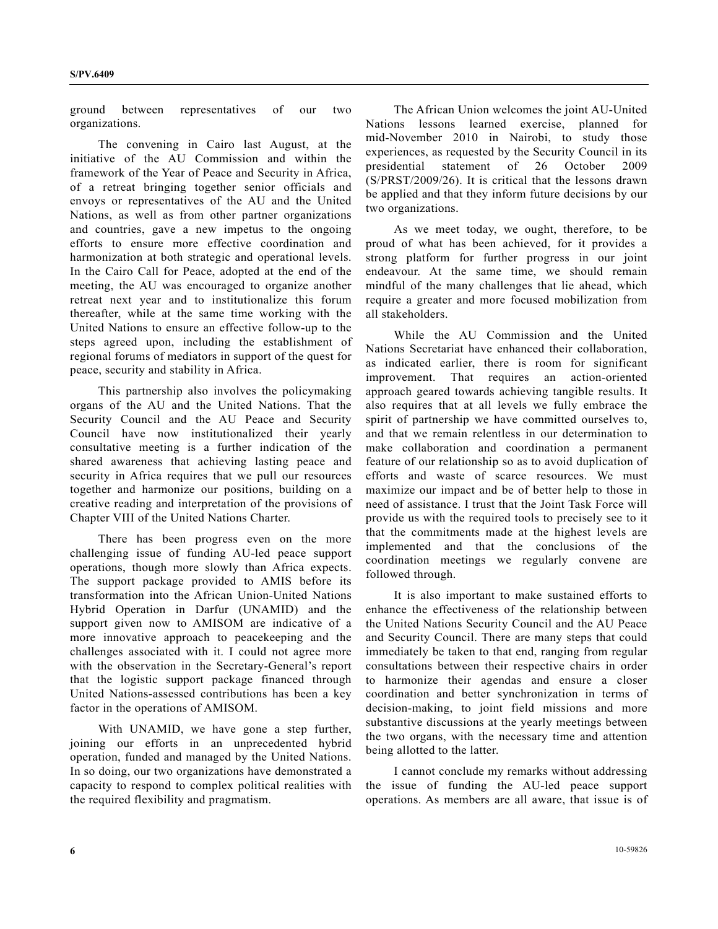ground between representatives of our two organizations.

 The convening in Cairo last August, at the initiative of the AU Commission and within the framework of the Year of Peace and Security in Africa, of a retreat bringing together senior officials and envoys or representatives of the AU and the United Nations, as well as from other partner organizations and countries, gave a new impetus to the ongoing efforts to ensure more effective coordination and harmonization at both strategic and operational levels. In the Cairo Call for Peace, adopted at the end of the meeting, the AU was encouraged to organize another retreat next year and to institutionalize this forum thereafter, while at the same time working with the United Nations to ensure an effective follow-up to the steps agreed upon, including the establishment of regional forums of mediators in support of the quest for peace, security and stability in Africa.

 This partnership also involves the policymaking organs of the AU and the United Nations. That the Security Council and the AU Peace and Security Council have now institutionalized their yearly consultative meeting is a further indication of the shared awareness that achieving lasting peace and security in Africa requires that we pull our resources together and harmonize our positions, building on a creative reading and interpretation of the provisions of Chapter VIII of the United Nations Charter.

 There has been progress even on the more challenging issue of funding AU-led peace support operations, though more slowly than Africa expects. The support package provided to AMIS before its transformation into the African Union-United Nations Hybrid Operation in Darfur (UNAMID) and the support given now to AMISOM are indicative of a more innovative approach to peacekeeping and the challenges associated with it. I could not agree more with the observation in the Secretary-General's report that the logistic support package financed through United Nations-assessed contributions has been a key factor in the operations of AMISOM.

 With UNAMID, we have gone a step further, joining our efforts in an unprecedented hybrid operation, funded and managed by the United Nations. In so doing, our two organizations have demonstrated a capacity to respond to complex political realities with the required flexibility and pragmatism.

 The African Union welcomes the joint AU-United Nations lessons learned exercise, planned for mid-November 2010 in Nairobi, to study those experiences, as requested by the Security Council in its presidential statement of 26 October 2009 (S/PRST/2009/26). It is critical that the lessons drawn be applied and that they inform future decisions by our two organizations.

 As we meet today, we ought, therefore, to be proud of what has been achieved, for it provides a strong platform for further progress in our joint endeavour. At the same time, we should remain mindful of the many challenges that lie ahead, which require a greater and more focused mobilization from all stakeholders.

 While the AU Commission and the United Nations Secretariat have enhanced their collaboration, as indicated earlier, there is room for significant improvement. That requires an action-oriented approach geared towards achieving tangible results. It also requires that at all levels we fully embrace the spirit of partnership we have committed ourselves to, and that we remain relentless in our determination to make collaboration and coordination a permanent feature of our relationship so as to avoid duplication of efforts and waste of scarce resources. We must maximize our impact and be of better help to those in need of assistance. I trust that the Joint Task Force will provide us with the required tools to precisely see to it that the commitments made at the highest levels are implemented and that the conclusions of the coordination meetings we regularly convene are followed through.

 It is also important to make sustained efforts to enhance the effectiveness of the relationship between the United Nations Security Council and the AU Peace and Security Council. There are many steps that could immediately be taken to that end, ranging from regular consultations between their respective chairs in order to harmonize their agendas and ensure a closer coordination and better synchronization in terms of decision-making, to joint field missions and more substantive discussions at the yearly meetings between the two organs, with the necessary time and attention being allotted to the latter.

 I cannot conclude my remarks without addressing the issue of funding the AU-led peace support operations. As members are all aware, that issue is of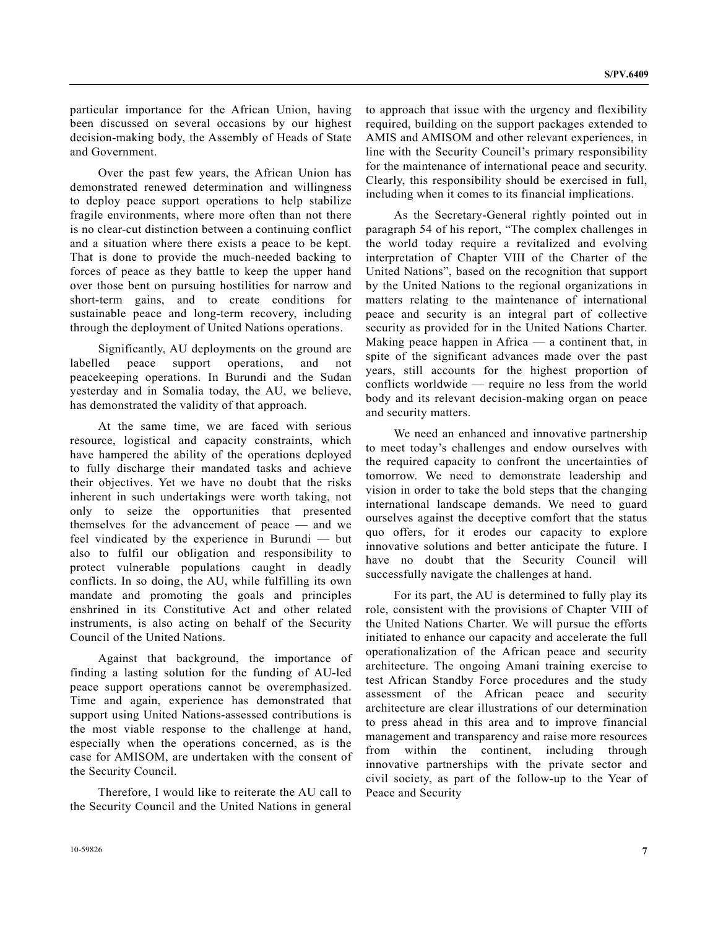particular importance for the African Union, having been discussed on several occasions by our highest decision-making body, the Assembly of Heads of State and Government.

 Over the past few years, the African Union has demonstrated renewed determination and willingness to deploy peace support operations to help stabilize fragile environments, where more often than not there is no clear-cut distinction between a continuing conflict and a situation where there exists a peace to be kept. That is done to provide the much-needed backing to forces of peace as they battle to keep the upper hand over those bent on pursuing hostilities for narrow and short-term gains, and to create conditions for sustainable peace and long-term recovery, including through the deployment of United Nations operations.

 Significantly, AU deployments on the ground are labelled peace support operations, and not peacekeeping operations. In Burundi and the Sudan yesterday and in Somalia today, the AU, we believe, has demonstrated the validity of that approach.

 At the same time, we are faced with serious resource, logistical and capacity constraints, which have hampered the ability of the operations deployed to fully discharge their mandated tasks and achieve their objectives. Yet we have no doubt that the risks inherent in such undertakings were worth taking, not only to seize the opportunities that presented themselves for the advancement of peace — and we feel vindicated by the experience in Burundi — but also to fulfil our obligation and responsibility to protect vulnerable populations caught in deadly conflicts. In so doing, the AU, while fulfilling its own mandate and promoting the goals and principles enshrined in its Constitutive Act and other related instruments, is also acting on behalf of the Security Council of the United Nations.

 Against that background, the importance of finding a lasting solution for the funding of AU-led peace support operations cannot be overemphasized. Time and again, experience has demonstrated that support using United Nations-assessed contributions is the most viable response to the challenge at hand, especially when the operations concerned, as is the case for AMISOM, are undertaken with the consent of the Security Council.

 Therefore, I would like to reiterate the AU call to the Security Council and the United Nations in general to approach that issue with the urgency and flexibility required, building on the support packages extended to AMIS and AMISOM and other relevant experiences, in line with the Security Council's primary responsibility for the maintenance of international peace and security. Clearly, this responsibility should be exercised in full, including when it comes to its financial implications.

 As the Secretary-General rightly pointed out in paragraph 54 of his report, "The complex challenges in the world today require a revitalized and evolving interpretation of Chapter VIII of the Charter of the United Nations", based on the recognition that support by the United Nations to the regional organizations in matters relating to the maintenance of international peace and security is an integral part of collective security as provided for in the United Nations Charter. Making peace happen in Africa — a continent that, in spite of the significant advances made over the past years, still accounts for the highest proportion of conflicts worldwide — require no less from the world body and its relevant decision-making organ on peace and security matters.

 We need an enhanced and innovative partnership to meet today's challenges and endow ourselves with the required capacity to confront the uncertainties of tomorrow. We need to demonstrate leadership and vision in order to take the bold steps that the changing international landscape demands. We need to guard ourselves against the deceptive comfort that the status quo offers, for it erodes our capacity to explore innovative solutions and better anticipate the future. I have no doubt that the Security Council will successfully navigate the challenges at hand.

 For its part, the AU is determined to fully play its role, consistent with the provisions of Chapter VIII of the United Nations Charter. We will pursue the efforts initiated to enhance our capacity and accelerate the full operationalization of the African peace and security architecture. The ongoing Amani training exercise to test African Standby Force procedures and the study assessment of the African peace and security architecture are clear illustrations of our determination to press ahead in this area and to improve financial management and transparency and raise more resources from within the continent, including through innovative partnerships with the private sector and civil society, as part of the follow-up to the Year of Peace and Security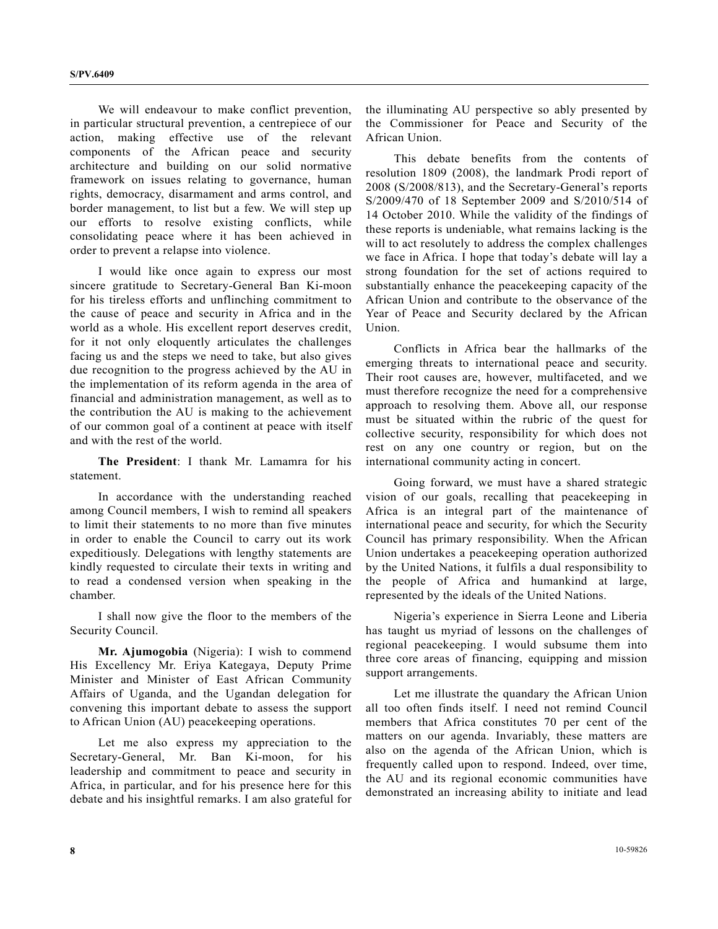We will endeavour to make conflict prevention, in particular structural prevention, a centrepiece of our action, making effective use of the relevant components of the African peace and security architecture and building on our solid normative framework on issues relating to governance, human rights, democracy, disarmament and arms control, and border management, to list but a few. We will step up our efforts to resolve existing conflicts, while consolidating peace where it has been achieved in order to prevent a relapse into violence.

 I would like once again to express our most sincere gratitude to Secretary-General Ban Ki-moon for his tireless efforts and unflinching commitment to the cause of peace and security in Africa and in the world as a whole. His excellent report deserves credit, for it not only eloquently articulates the challenges facing us and the steps we need to take, but also gives due recognition to the progress achieved by the AU in the implementation of its reform agenda in the area of financial and administration management, as well as to the contribution the AU is making to the achievement of our common goal of a continent at peace with itself and with the rest of the world.

**The President**: I thank Mr. Lamamra for his statement.

 In accordance with the understanding reached among Council members, I wish to remind all speakers to limit their statements to no more than five minutes in order to enable the Council to carry out its work expeditiously. Delegations with lengthy statements are kindly requested to circulate their texts in writing and to read a condensed version when speaking in the chamber.

 I shall now give the floor to the members of the Security Council.

**Mr. Ajumogobia** (Nigeria): I wish to commend His Excellency Mr. Eriya Kategaya, Deputy Prime Minister and Minister of East African Community Affairs of Uganda, and the Ugandan delegation for convening this important debate to assess the support to African Union (AU) peacekeeping operations.

 Let me also express my appreciation to the Secretary-General, Mr. Ban Ki-moon, for his leadership and commitment to peace and security in Africa, in particular, and for his presence here for this debate and his insightful remarks. I am also grateful for

the illuminating AU perspective so ably presented by the Commissioner for Peace and Security of the African Union.

 This debate benefits from the contents of resolution 1809 (2008), the landmark Prodi report of 2008 (S/2008/813), and the Secretary-General's reports S/2009/470 of 18 September 2009 and S/2010/514 of 14 October 2010. While the validity of the findings of these reports is undeniable, what remains lacking is the will to act resolutely to address the complex challenges we face in Africa. I hope that today's debate will lay a strong foundation for the set of actions required to substantially enhance the peacekeeping capacity of the African Union and contribute to the observance of the Year of Peace and Security declared by the African Union.

 Conflicts in Africa bear the hallmarks of the emerging threats to international peace and security. Their root causes are, however, multifaceted, and we must therefore recognize the need for a comprehensive approach to resolving them. Above all, our response must be situated within the rubric of the quest for collective security, responsibility for which does not rest on any one country or region, but on the international community acting in concert.

 Going forward, we must have a shared strategic vision of our goals, recalling that peacekeeping in Africa is an integral part of the maintenance of international peace and security, for which the Security Council has primary responsibility. When the African Union undertakes a peacekeeping operation authorized by the United Nations, it fulfils a dual responsibility to the people of Africa and humankind at large, represented by the ideals of the United Nations.

 Nigeria's experience in Sierra Leone and Liberia has taught us myriad of lessons on the challenges of regional peacekeeping. I would subsume them into three core areas of financing, equipping and mission support arrangements.

 Let me illustrate the quandary the African Union all too often finds itself. I need not remind Council members that Africa constitutes 70 per cent of the matters on our agenda. Invariably, these matters are also on the agenda of the African Union, which is frequently called upon to respond. Indeed, over time, the AU and its regional economic communities have demonstrated an increasing ability to initiate and lead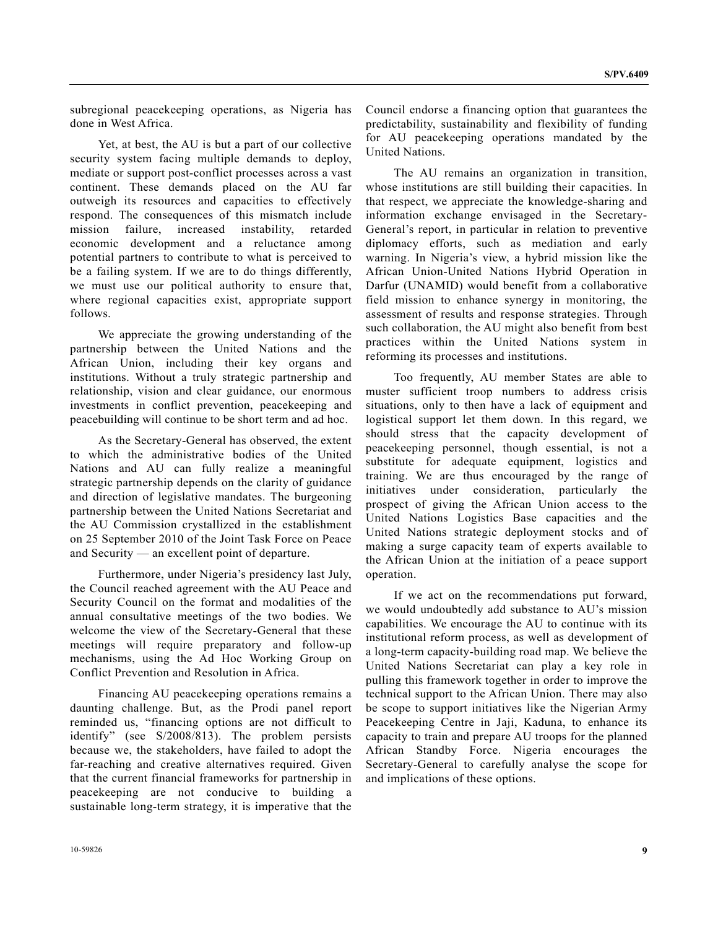subregional peacekeeping operations, as Nigeria has done in West Africa.

 Yet, at best, the AU is but a part of our collective security system facing multiple demands to deploy, mediate or support post-conflict processes across a vast continent. These demands placed on the AU far outweigh its resources and capacities to effectively respond. The consequences of this mismatch include mission failure, increased instability, retarded economic development and a reluctance among potential partners to contribute to what is perceived to be a failing system. If we are to do things differently, we must use our political authority to ensure that, where regional capacities exist, appropriate support follows.

 We appreciate the growing understanding of the partnership between the United Nations and the African Union, including their key organs and institutions. Without a truly strategic partnership and relationship, vision and clear guidance, our enormous investments in conflict prevention, peacekeeping and peacebuilding will continue to be short term and ad hoc.

 As the Secretary-General has observed, the extent to which the administrative bodies of the United Nations and AU can fully realize a meaningful strategic partnership depends on the clarity of guidance and direction of legislative mandates. The burgeoning partnership between the United Nations Secretariat and the AU Commission crystallized in the establishment on 25 September 2010 of the Joint Task Force on Peace and Security — an excellent point of departure.

 Furthermore, under Nigeria's presidency last July, the Council reached agreement with the AU Peace and Security Council on the format and modalities of the annual consultative meetings of the two bodies. We welcome the view of the Secretary-General that these meetings will require preparatory and follow-up mechanisms, using the Ad Hoc Working Group on Conflict Prevention and Resolution in Africa.

 Financing AU peacekeeping operations remains a daunting challenge. But, as the Prodi panel report reminded us, "financing options are not difficult to identify" (see S/2008/813). The problem persists because we, the stakeholders, have failed to adopt the far-reaching and creative alternatives required. Given that the current financial frameworks for partnership in peacekeeping are not conducive to building a sustainable long-term strategy, it is imperative that the

 The AU remains an organization in transition, whose institutions are still building their capacities. In that respect, we appreciate the knowledge-sharing and information exchange envisaged in the Secretary-General's report, in particular in relation to preventive diplomacy efforts, such as mediation and early warning. In Nigeria's view, a hybrid mission like the African Union-United Nations Hybrid Operation in Darfur (UNAMID) would benefit from a collaborative field mission to enhance synergy in monitoring, the assessment of results and response strategies. Through such collaboration, the AU might also benefit from best practices within the United Nations system in reforming its processes and institutions.

 Too frequently, AU member States are able to muster sufficient troop numbers to address crisis situations, only to then have a lack of equipment and logistical support let them down. In this regard, we should stress that the capacity development of peacekeeping personnel, though essential, is not a substitute for adequate equipment, logistics and training. We are thus encouraged by the range of initiatives under consideration, particularly the prospect of giving the African Union access to the United Nations Logistics Base capacities and the United Nations strategic deployment stocks and of making a surge capacity team of experts available to the African Union at the initiation of a peace support operation.

 If we act on the recommendations put forward, we would undoubtedly add substance to AU's mission capabilities. We encourage the AU to continue with its institutional reform process, as well as development of a long-term capacity-building road map. We believe the United Nations Secretariat can play a key role in pulling this framework together in order to improve the technical support to the African Union. There may also be scope to support initiatives like the Nigerian Army Peacekeeping Centre in Jaji, Kaduna, to enhance its capacity to train and prepare AU troops for the planned African Standby Force. Nigeria encourages the Secretary-General to carefully analyse the scope for and implications of these options.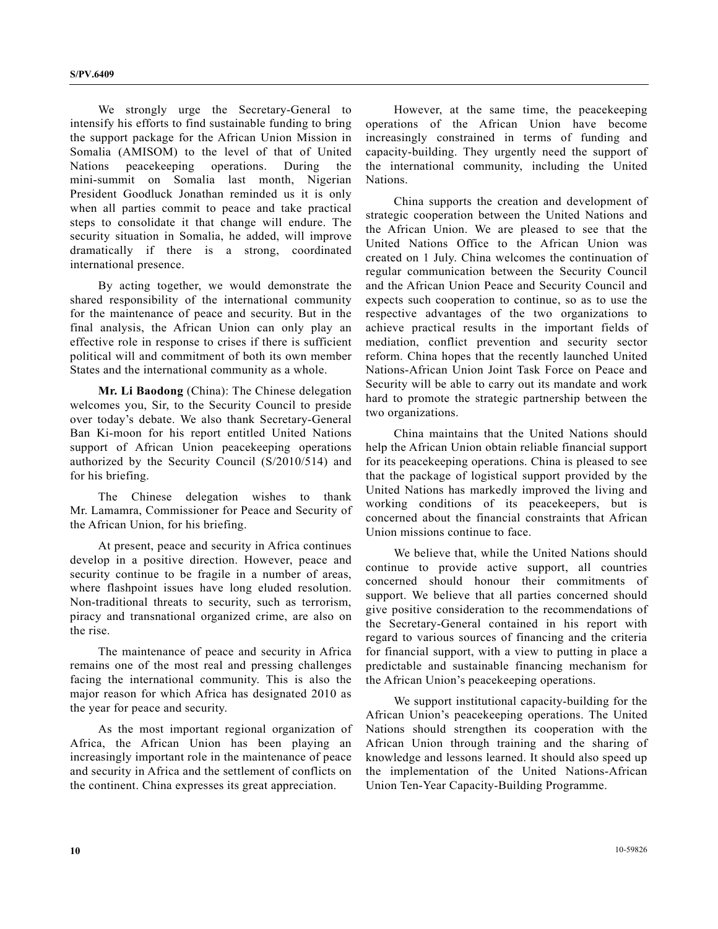We strongly urge the Secretary-General to intensify his efforts to find sustainable funding to bring the support package for the African Union Mission in Somalia (AMISOM) to the level of that of United Nations peacekeeping operations. During the mini-summit on Somalia last month, Nigerian President Goodluck Jonathan reminded us it is only when all parties commit to peace and take practical steps to consolidate it that change will endure. The security situation in Somalia, he added, will improve dramatically if there is a strong, coordinated international presence.

 By acting together, we would demonstrate the shared responsibility of the international community for the maintenance of peace and security. But in the final analysis, the African Union can only play an effective role in response to crises if there is sufficient political will and commitment of both its own member States and the international community as a whole.

 **Mr. Li Baodong** (China): The Chinese delegation welcomes you, Sir, to the Security Council to preside over today's debate. We also thank Secretary-General Ban Ki-moon for his report entitled United Nations support of African Union peacekeeping operations authorized by the Security Council (S/2010/514) and for his briefing.

 The Chinese delegation wishes to thank Mr. Lamamra, Commissioner for Peace and Security of the African Union, for his briefing.

 At present, peace and security in Africa continues develop in a positive direction. However, peace and security continue to be fragile in a number of areas, where flashpoint issues have long eluded resolution. Non-traditional threats to security, such as terrorism, piracy and transnational organized crime, are also on the rise.

 The maintenance of peace and security in Africa remains one of the most real and pressing challenges facing the international community. This is also the major reason for which Africa has designated 2010 as the year for peace and security.

 As the most important regional organization of Africa, the African Union has been playing an increasingly important role in the maintenance of peace and security in Africa and the settlement of conflicts on the continent. China expresses its great appreciation.

 However, at the same time, the peacekeeping operations of the African Union have become increasingly constrained in terms of funding and capacity-building. They urgently need the support of the international community, including the United Nations.

 China supports the creation and development of strategic cooperation between the United Nations and the African Union. We are pleased to see that the United Nations Office to the African Union was created on 1 July. China welcomes the continuation of regular communication between the Security Council and the African Union Peace and Security Council and expects such cooperation to continue, so as to use the respective advantages of the two organizations to achieve practical results in the important fields of mediation, conflict prevention and security sector reform. China hopes that the recently launched United Nations-African Union Joint Task Force on Peace and Security will be able to carry out its mandate and work hard to promote the strategic partnership between the two organizations.

 China maintains that the United Nations should help the African Union obtain reliable financial support for its peacekeeping operations. China is pleased to see that the package of logistical support provided by the United Nations has markedly improved the living and working conditions of its peacekeepers, but is concerned about the financial constraints that African Union missions continue to face.

 We believe that, while the United Nations should continue to provide active support, all countries concerned should honour their commitments of support. We believe that all parties concerned should give positive consideration to the recommendations of the Secretary-General contained in his report with regard to various sources of financing and the criteria for financial support, with a view to putting in place a predictable and sustainable financing mechanism for the African Union's peacekeeping operations.

 We support institutional capacity-building for the African Union's peacekeeping operations. The United Nations should strengthen its cooperation with the African Union through training and the sharing of knowledge and lessons learned. It should also speed up the implementation of the United Nations-African Union Ten-Year Capacity-Building Programme.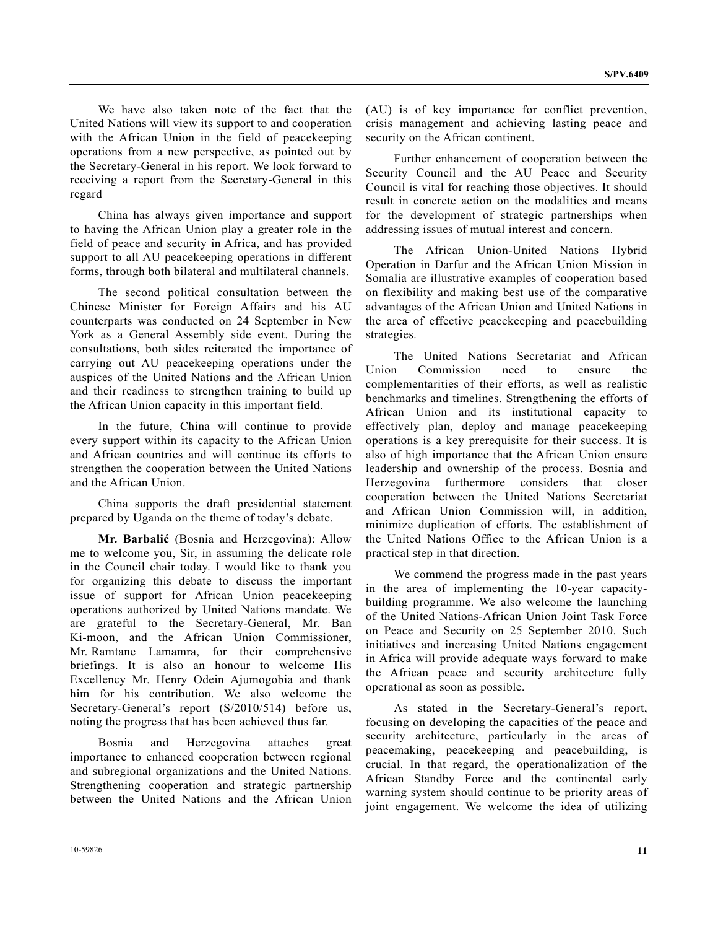We have also taken note of the fact that the United Nations will view its support to and cooperation with the African Union in the field of peacekeeping operations from a new perspective, as pointed out by the Secretary-General in his report. We look forward to receiving a report from the Secretary-General in this regard

 China has always given importance and support to having the African Union play a greater role in the field of peace and security in Africa, and has provided support to all AU peacekeeping operations in different forms, through both bilateral and multilateral channels.

 The second political consultation between the Chinese Minister for Foreign Affairs and his AU counterparts was conducted on 24 September in New York as a General Assembly side event. During the consultations, both sides reiterated the importance of carrying out AU peacekeeping operations under the auspices of the United Nations and the African Union and their readiness to strengthen training to build up the African Union capacity in this important field.

 In the future, China will continue to provide every support within its capacity to the African Union and African countries and will continue its efforts to strengthen the cooperation between the United Nations and the African Union.

 China supports the draft presidential statement prepared by Uganda on the theme of today's debate.

**Mr. Barbalić** (Bosnia and Herzegovina): Allow me to welcome you, Sir, in assuming the delicate role in the Council chair today. I would like to thank you for organizing this debate to discuss the important issue of support for African Union peacekeeping operations authorized by United Nations mandate. We are grateful to the Secretary-General, Mr. Ban Ki-moon, and the African Union Commissioner, Mr. Ramtane Lamamra, for their comprehensive briefings. It is also an honour to welcome His Excellency Mr. Henry Odein Ajumogobia and thank him for his contribution. We also welcome the Secretary-General's report (S/2010/514) before us, noting the progress that has been achieved thus far.

 Bosnia and Herzegovina attaches great importance to enhanced cooperation between regional and subregional organizations and the United Nations. Strengthening cooperation and strategic partnership between the United Nations and the African Union (AU) is of key importance for conflict prevention, crisis management and achieving lasting peace and security on the African continent.

 Further enhancement of cooperation between the Security Council and the AU Peace and Security Council is vital for reaching those objectives. It should result in concrete action on the modalities and means for the development of strategic partnerships when addressing issues of mutual interest and concern.

 The African Union-United Nations Hybrid Operation in Darfur and the African Union Mission in Somalia are illustrative examples of cooperation based on flexibility and making best use of the comparative advantages of the African Union and United Nations in the area of effective peacekeeping and peacebuilding strategies.

 The United Nations Secretariat and African Union Commission need to ensure the complementarities of their efforts, as well as realistic benchmarks and timelines. Strengthening the efforts of African Union and its institutional capacity to effectively plan, deploy and manage peacekeeping operations is a key prerequisite for their success. It is also of high importance that the African Union ensure leadership and ownership of the process. Bosnia and Herzegovina furthermore considers that closer cooperation between the United Nations Secretariat and African Union Commission will, in addition, minimize duplication of efforts. The establishment of the United Nations Office to the African Union is a practical step in that direction.

 We commend the progress made in the past years in the area of implementing the 10-year capacitybuilding programme. We also welcome the launching of the United Nations-African Union Joint Task Force on Peace and Security on 25 September 2010. Such initiatives and increasing United Nations engagement in Africa will provide adequate ways forward to make the African peace and security architecture fully operational as soon as possible.

 As stated in the Secretary-General's report, focusing on developing the capacities of the peace and security architecture, particularly in the areas of peacemaking, peacekeeping and peacebuilding, is crucial. In that regard, the operationalization of the African Standby Force and the continental early warning system should continue to be priority areas of joint engagement. We welcome the idea of utilizing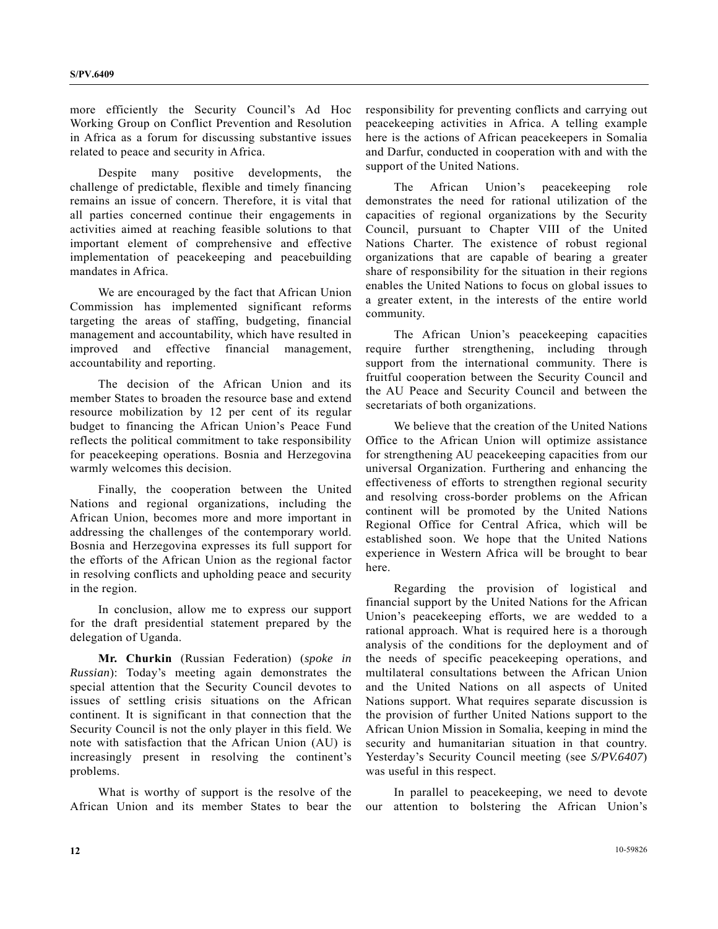more efficiently the Security Council's Ad Hoc Working Group on Conflict Prevention and Resolution in Africa as a forum for discussing substantive issues related to peace and security in Africa.

 Despite many positive developments, the challenge of predictable, flexible and timely financing remains an issue of concern. Therefore, it is vital that all parties concerned continue their engagements in activities aimed at reaching feasible solutions to that important element of comprehensive and effective implementation of peacekeeping and peacebuilding mandates in Africa.

 We are encouraged by the fact that African Union Commission has implemented significant reforms targeting the areas of staffing, budgeting, financial management and accountability, which have resulted in improved and effective financial management, accountability and reporting.

 The decision of the African Union and its member States to broaden the resource base and extend resource mobilization by 12 per cent of its regular budget to financing the African Union's Peace Fund reflects the political commitment to take responsibility for peacekeeping operations. Bosnia and Herzegovina warmly welcomes this decision.

 Finally, the cooperation between the United Nations and regional organizations, including the African Union, becomes more and more important in addressing the challenges of the contemporary world. Bosnia and Herzegovina expresses its full support for the efforts of the African Union as the regional factor in resolving conflicts and upholding peace and security in the region.

 In conclusion, allow me to express our support for the draft presidential statement prepared by the delegation of Uganda.

 **Mr. Churkin** (Russian Federation) (*spoke in Russian*): Today's meeting again demonstrates the special attention that the Security Council devotes to issues of settling crisis situations on the African continent. It is significant in that connection that the Security Council is not the only player in this field. We note with satisfaction that the African Union (AU) is increasingly present in resolving the continent's problems.

 What is worthy of support is the resolve of the African Union and its member States to bear the responsibility for preventing conflicts and carrying out peacekeeping activities in Africa. A telling example here is the actions of African peacekeepers in Somalia and Darfur, conducted in cooperation with and with the support of the United Nations.

 The African Union's peacekeeping role demonstrates the need for rational utilization of the capacities of regional organizations by the Security Council, pursuant to Chapter VIII of the United Nations Charter. The existence of robust regional organizations that are capable of bearing a greater share of responsibility for the situation in their regions enables the United Nations to focus on global issues to a greater extent, in the interests of the entire world community.

 The African Union's peacekeeping capacities require further strengthening, including through support from the international community. There is fruitful cooperation between the Security Council and the AU Peace and Security Council and between the secretariats of both organizations.

 We believe that the creation of the United Nations Office to the African Union will optimize assistance for strengthening AU peacekeeping capacities from our universal Organization. Furthering and enhancing the effectiveness of efforts to strengthen regional security and resolving cross-border problems on the African continent will be promoted by the United Nations Regional Office for Central Africa, which will be established soon. We hope that the United Nations experience in Western Africa will be brought to bear here.

 Regarding the provision of logistical and financial support by the United Nations for the African Union's peacekeeping efforts, we are wedded to a rational approach. What is required here is a thorough analysis of the conditions for the deployment and of the needs of specific peacekeeping operations, and multilateral consultations between the African Union and the United Nations on all aspects of United Nations support. What requires separate discussion is the provision of further United Nations support to the African Union Mission in Somalia, keeping in mind the security and humanitarian situation in that country. Yesterday's Security Council meeting (see *S/PV.6407*) was useful in this respect.

 In parallel to peacekeeping, we need to devote our attention to bolstering the African Union's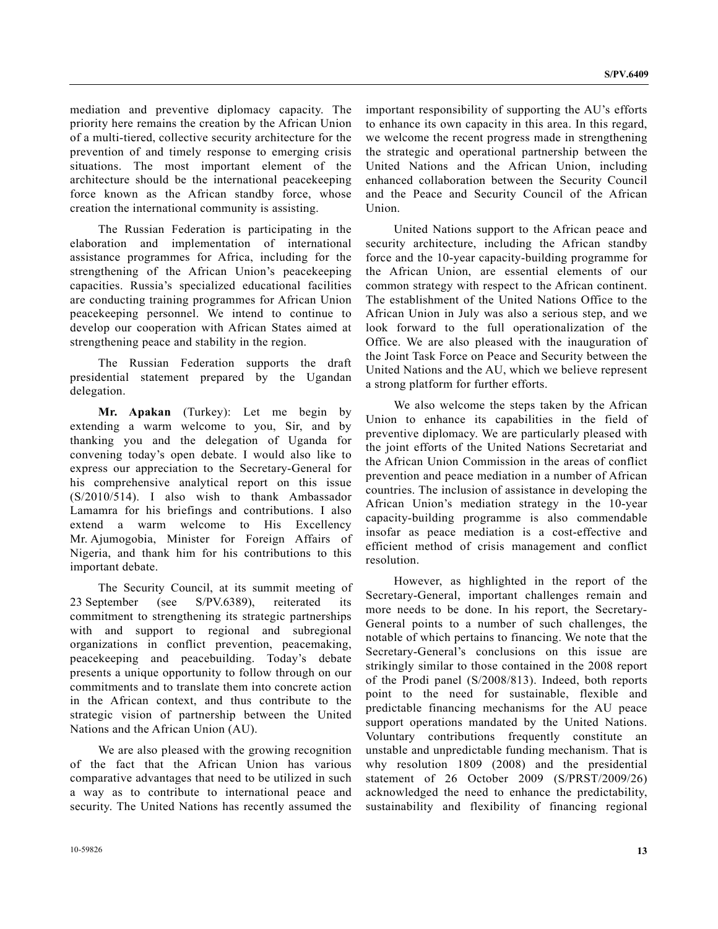mediation and preventive diplomacy capacity. The priority here remains the creation by the African Union of a multi-tiered, collective security architecture for the prevention of and timely response to emerging crisis situations. The most important element of the architecture should be the international peacekeeping force known as the African standby force, whose creation the international community is assisting.

 The Russian Federation is participating in the elaboration and implementation of international assistance programmes for Africa, including for the strengthening of the African Union's peacekeeping capacities. Russia's specialized educational facilities are conducting training programmes for African Union peacekeeping personnel. We intend to continue to develop our cooperation with African States aimed at strengthening peace and stability in the region.

 The Russian Federation supports the draft presidential statement prepared by the Ugandan delegation.

**Mr. Apakan** (Turkey): Let me begin by extending a warm welcome to you, Sir, and by thanking you and the delegation of Uganda for convening today's open debate. I would also like to express our appreciation to the Secretary-General for his comprehensive analytical report on this issue (S/2010/514). I also wish to thank Ambassador Lamamra for his briefings and contributions. I also extend a warm welcome to His Excellency Mr. Ajumogobia, Minister for Foreign Affairs of Nigeria, and thank him for his contributions to this important debate.

 The Security Council, at its summit meeting of 23 September (see S/PV.6389), reiterated its commitment to strengthening its strategic partnerships with and support to regional and subregional organizations in conflict prevention, peacemaking, peacekeeping and peacebuilding. Today's debate presents a unique opportunity to follow through on our commitments and to translate them into concrete action in the African context, and thus contribute to the strategic vision of partnership between the United Nations and the African Union (AU).

 We are also pleased with the growing recognition of the fact that the African Union has various comparative advantages that need to be utilized in such a way as to contribute to international peace and security. The United Nations has recently assumed the important responsibility of supporting the AU's efforts to enhance its own capacity in this area. In this regard, we welcome the recent progress made in strengthening the strategic and operational partnership between the United Nations and the African Union, including enhanced collaboration between the Security Council and the Peace and Security Council of the African Union.

 United Nations support to the African peace and security architecture, including the African standby force and the 10-year capacity-building programme for the African Union, are essential elements of our common strategy with respect to the African continent. The establishment of the United Nations Office to the African Union in July was also a serious step, and we look forward to the full operationalization of the Office. We are also pleased with the inauguration of the Joint Task Force on Peace and Security between the United Nations and the AU, which we believe represent a strong platform for further efforts.

 We also welcome the steps taken by the African Union to enhance its capabilities in the field of preventive diplomacy. We are particularly pleased with the joint efforts of the United Nations Secretariat and the African Union Commission in the areas of conflict prevention and peace mediation in a number of African countries. The inclusion of assistance in developing the African Union's mediation strategy in the 10-year capacity-building programme is also commendable insofar as peace mediation is a cost-effective and efficient method of crisis management and conflict resolution.

 However, as highlighted in the report of the Secretary-General, important challenges remain and more needs to be done. In his report, the Secretary-General points to a number of such challenges, the notable of which pertains to financing. We note that the Secretary-General's conclusions on this issue are strikingly similar to those contained in the 2008 report of the Prodi panel (S/2008/813). Indeed, both reports point to the need for sustainable, flexible and predictable financing mechanisms for the AU peace support operations mandated by the United Nations. Voluntary contributions frequently constitute an unstable and unpredictable funding mechanism. That is why resolution 1809 (2008) and the presidential statement of 26 October 2009 (S/PRST/2009/26) acknowledged the need to enhance the predictability, sustainability and flexibility of financing regional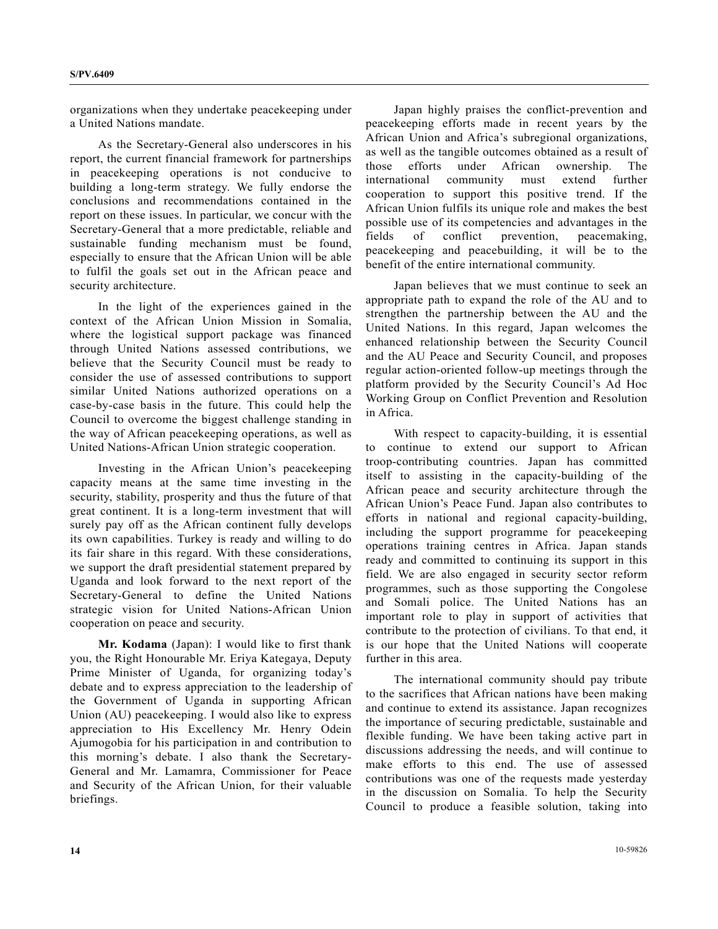organizations when they undertake peacekeeping under a United Nations mandate.

 As the Secretary-General also underscores in his report, the current financial framework for partnerships in peacekeeping operations is not conducive to building a long-term strategy. We fully endorse the conclusions and recommendations contained in the report on these issues. In particular, we concur with the Secretary-General that a more predictable, reliable and sustainable funding mechanism must be found, especially to ensure that the African Union will be able to fulfil the goals set out in the African peace and security architecture.

 In the light of the experiences gained in the context of the African Union Mission in Somalia, where the logistical support package was financed through United Nations assessed contributions, we believe that the Security Council must be ready to consider the use of assessed contributions to support similar United Nations authorized operations on a case-by-case basis in the future. This could help the Council to overcome the biggest challenge standing in the way of African peacekeeping operations, as well as United Nations-African Union strategic cooperation.

 Investing in the African Union's peacekeeping capacity means at the same time investing in the security, stability, prosperity and thus the future of that great continent. It is a long-term investment that will surely pay off as the African continent fully develops its own capabilities. Turkey is ready and willing to do its fair share in this regard. With these considerations, we support the draft presidential statement prepared by Uganda and look forward to the next report of the Secretary-General to define the United Nations strategic vision for United Nations-African Union cooperation on peace and security.

**Mr. Kodama** (Japan): I would like to first thank you, the Right Honourable Mr. Eriya Kategaya, Deputy Prime Minister of Uganda, for organizing today's debate and to express appreciation to the leadership of the Government of Uganda in supporting African Union (AU) peacekeeping. I would also like to express appreciation to His Excellency Mr. Henry Odein Ajumogobia for his participation in and contribution to this morning's debate. I also thank the Secretary-General and Mr. Lamamra, Commissioner for Peace and Security of the African Union, for their valuable briefings.

 Japan highly praises the conflict-prevention and peacekeeping efforts made in recent years by the African Union and Africa's subregional organizations, as well as the tangible outcomes obtained as a result of those efforts under African ownership. The international community must extend further cooperation to support this positive trend. If the African Union fulfils its unique role and makes the best possible use of its competencies and advantages in the fields of conflict prevention, peacemaking, peacekeeping and peacebuilding, it will be to the benefit of the entire international community.

 Japan believes that we must continue to seek an appropriate path to expand the role of the AU and to strengthen the partnership between the AU and the United Nations. In this regard, Japan welcomes the enhanced relationship between the Security Council and the AU Peace and Security Council, and proposes regular action-oriented follow-up meetings through the platform provided by the Security Council's Ad Hoc Working Group on Conflict Prevention and Resolution in Africa.

 With respect to capacity-building, it is essential to continue to extend our support to African troop-contributing countries. Japan has committed itself to assisting in the capacity-building of the African peace and security architecture through the African Union's Peace Fund. Japan also contributes to efforts in national and regional capacity-building, including the support programme for peacekeeping operations training centres in Africa. Japan stands ready and committed to continuing its support in this field. We are also engaged in security sector reform programmes, such as those supporting the Congolese and Somali police. The United Nations has an important role to play in support of activities that contribute to the protection of civilians. To that end, it is our hope that the United Nations will cooperate further in this area.

 The international community should pay tribute to the sacrifices that African nations have been making and continue to extend its assistance. Japan recognizes the importance of securing predictable, sustainable and flexible funding. We have been taking active part in discussions addressing the needs, and will continue to make efforts to this end. The use of assessed contributions was one of the requests made yesterday in the discussion on Somalia. To help the Security Council to produce a feasible solution, taking into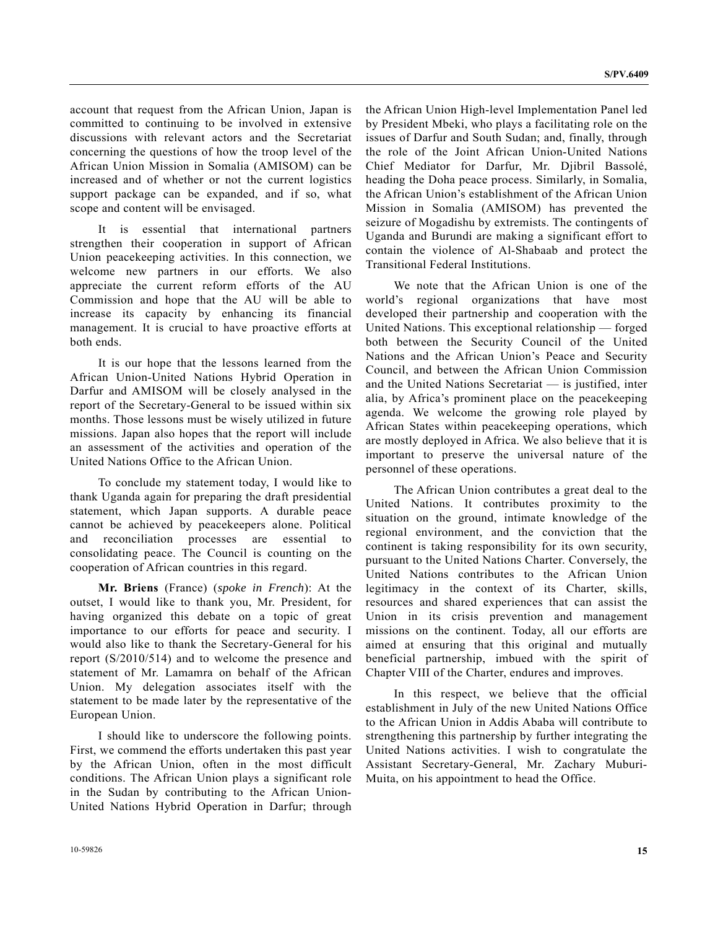account that request from the African Union, Japan is committed to continuing to be involved in extensive discussions with relevant actors and the Secretariat concerning the questions of how the troop level of the African Union Mission in Somalia (AMISOM) can be increased and of whether or not the current logistics support package can be expanded, and if so, what scope and content will be envisaged.

 It is essential that international partners strengthen their cooperation in support of African Union peacekeeping activities. In this connection, we welcome new partners in our efforts. We also appreciate the current reform efforts of the AU Commission and hope that the AU will be able to increase its capacity by enhancing its financial management. It is crucial to have proactive efforts at both ends.

 It is our hope that the lessons learned from the African Union-United Nations Hybrid Operation in Darfur and AMISOM will be closely analysed in the report of the Secretary-General to be issued within six months. Those lessons must be wisely utilized in future missions. Japan also hopes that the report will include an assessment of the activities and operation of the United Nations Office to the African Union.

 To conclude my statement today, I would like to thank Uganda again for preparing the draft presidential statement, which Japan supports. A durable peace cannot be achieved by peacekeepers alone. Political and reconciliation processes are essential to consolidating peace. The Council is counting on the cooperation of African countries in this regard.

**Mr. Briens** (France) (*spoke in French*): At the outset, I would like to thank you, Mr. President, for having organized this debate on a topic of great importance to our efforts for peace and security. I would also like to thank the Secretary-General for his report (S/2010/514) and to welcome the presence and statement of Mr. Lamamra on behalf of the African Union. My delegation associates itself with the statement to be made later by the representative of the European Union.

 I should like to underscore the following points. First, we commend the efforts undertaken this past year by the African Union, often in the most difficult conditions. The African Union plays a significant role in the Sudan by contributing to the African Union-United Nations Hybrid Operation in Darfur; through the African Union High-level Implementation Panel led by President Mbeki, who plays a facilitating role on the issues of Darfur and South Sudan; and, finally, through the role of the Joint African Union-United Nations Chief Mediator for Darfur, Mr. Djibril Bassolé, heading the Doha peace process. Similarly, in Somalia, the African Union's establishment of the African Union Mission in Somalia (AMISOM) has prevented the seizure of Mogadishu by extremists. The contingents of Uganda and Burundi are making a significant effort to contain the violence of Al-Shabaab and protect the Transitional Federal Institutions.

 We note that the African Union is one of the world's regional organizations that have most developed their partnership and cooperation with the United Nations. This exceptional relationship — forged both between the Security Council of the United Nations and the African Union's Peace and Security Council, and between the African Union Commission and the United Nations Secretariat — is justified, inter alia, by Africa's prominent place on the peacekeeping agenda. We welcome the growing role played by African States within peacekeeping operations, which are mostly deployed in Africa. We also believe that it is important to preserve the universal nature of the personnel of these operations.

 The African Union contributes a great deal to the United Nations. It contributes proximity to the situation on the ground, intimate knowledge of the regional environment, and the conviction that the continent is taking responsibility for its own security, pursuant to the United Nations Charter. Conversely, the United Nations contributes to the African Union legitimacy in the context of its Charter, skills, resources and shared experiences that can assist the Union in its crisis prevention and management missions on the continent. Today, all our efforts are aimed at ensuring that this original and mutually beneficial partnership, imbued with the spirit of Chapter VIII of the Charter, endures and improves.

 In this respect, we believe that the official establishment in July of the new United Nations Office to the African Union in Addis Ababa will contribute to strengthening this partnership by further integrating the United Nations activities. I wish to congratulate the Assistant Secretary-General, Mr. Zachary Muburi-Muita, on his appointment to head the Office.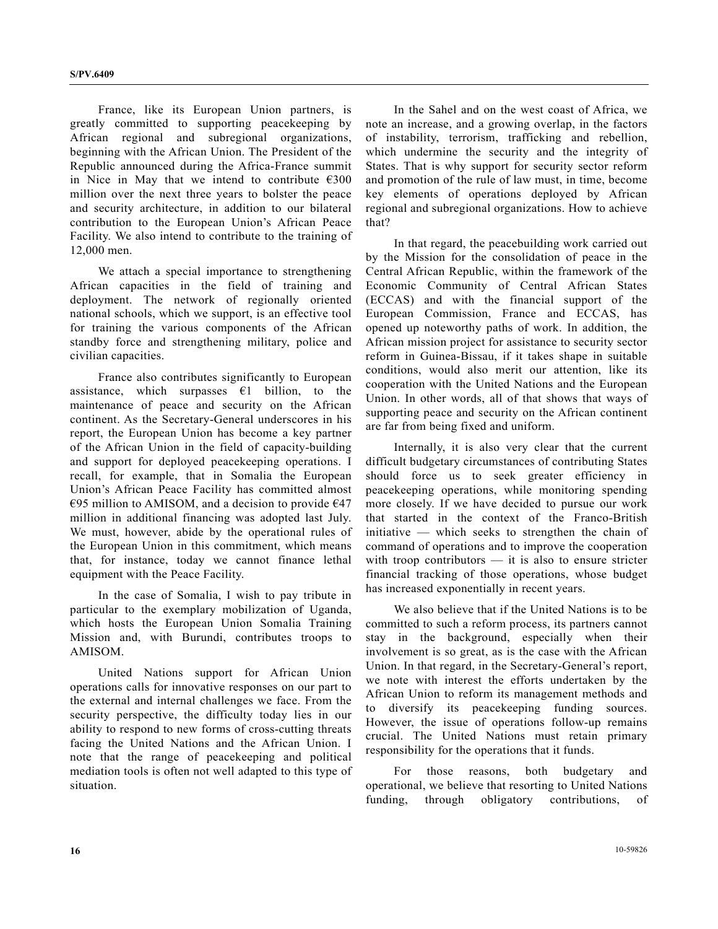France, like its European Union partners, is greatly committed to supporting peacekeeping by African regional and subregional organizations, beginning with the African Union. The President of the Republic announced during the Africa-France summit in Nice in May that we intend to contribute  $\epsilon$ 300 million over the next three years to bolster the peace and security architecture, in addition to our bilateral contribution to the European Union's African Peace Facility. We also intend to contribute to the training of 12,000 men.

 We attach a special importance to strengthening African capacities in the field of training and deployment. The network of regionally oriented national schools, which we support, is an effective tool for training the various components of the African standby force and strengthening military, police and civilian capacities.

 France also contributes significantly to European assistance, which surpasses  $\epsilon$ 1 billion, to the maintenance of peace and security on the African continent. As the Secretary-General underscores in his report, the European Union has become a key partner of the African Union in the field of capacity-building and support for deployed peacekeeping operations. I recall, for example, that in Somalia the European Union's African Peace Facility has committed almost €95 million to AMISOM, and a decision to provide  $€47$ million in additional financing was adopted last July. We must, however, abide by the operational rules of the European Union in this commitment, which means that, for instance, today we cannot finance lethal equipment with the Peace Facility.

 In the case of Somalia, I wish to pay tribute in particular to the exemplary mobilization of Uganda, which hosts the European Union Somalia Training Mission and, with Burundi, contributes troops to AMISOM.

 United Nations support for African Union operations calls for innovative responses on our part to the external and internal challenges we face. From the security perspective, the difficulty today lies in our ability to respond to new forms of cross-cutting threats facing the United Nations and the African Union. I note that the range of peacekeeping and political mediation tools is often not well adapted to this type of situation.

 In the Sahel and on the west coast of Africa, we note an increase, and a growing overlap, in the factors of instability, terrorism, trafficking and rebellion, which undermine the security and the integrity of States. That is why support for security sector reform and promotion of the rule of law must, in time, become key elements of operations deployed by African regional and subregional organizations. How to achieve that?

 In that regard, the peacebuilding work carried out by the Mission for the consolidation of peace in the Central African Republic, within the framework of the Economic Community of Central African States (ECCAS) and with the financial support of the European Commission, France and ECCAS, has opened up noteworthy paths of work. In addition, the African mission project for assistance to security sector reform in Guinea-Bissau, if it takes shape in suitable conditions, would also merit our attention, like its cooperation with the United Nations and the European Union. In other words, all of that shows that ways of supporting peace and security on the African continent are far from being fixed and uniform.

 Internally, it is also very clear that the current difficult budgetary circumstances of contributing States should force us to seek greater efficiency in peacekeeping operations, while monitoring spending more closely. If we have decided to pursue our work that started in the context of the Franco-British initiative — which seeks to strengthen the chain of command of operations and to improve the cooperation with troop contributors  $-$  it is also to ensure stricter financial tracking of those operations, whose budget has increased exponentially in recent years.

 We also believe that if the United Nations is to be committed to such a reform process, its partners cannot stay in the background, especially when their involvement is so great, as is the case with the African Union. In that regard, in the Secretary-General's report, we note with interest the efforts undertaken by the African Union to reform its management methods and to diversify its peacekeeping funding sources. However, the issue of operations follow-up remains crucial. The United Nations must retain primary responsibility for the operations that it funds.

 For those reasons, both budgetary and operational, we believe that resorting to United Nations funding, through obligatory contributions, of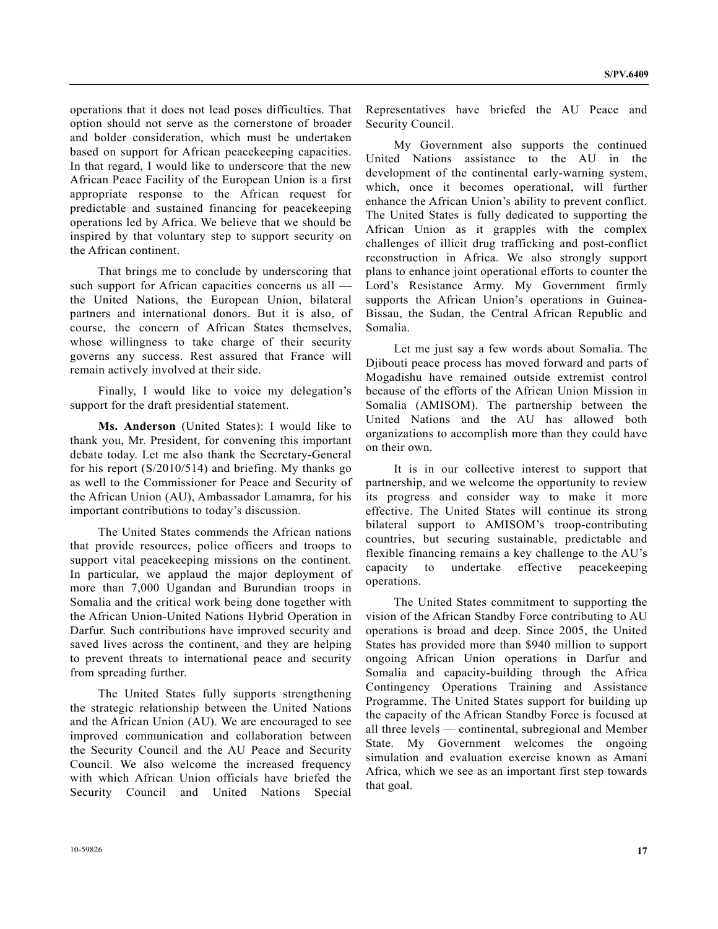operations that it does not lead poses difficulties. That option should not serve as the cornerstone of broader and bolder consideration, which must be undertaken based on support for African peacekeeping capacities. In that regard, I would like to underscore that the new African Peace Facility of the European Union is a first appropriate response to the African request for predictable and sustained financing for peacekeeping operations led by Africa. We believe that we should be inspired by that voluntary step to support security on the African continent.

 That brings me to conclude by underscoring that such support for African capacities concerns us all the United Nations, the European Union, bilateral partners and international donors. But it is also, of course, the concern of African States themselves, whose willingness to take charge of their security governs any success. Rest assured that France will remain actively involved at their side.

 Finally, I would like to voice my delegation's support for the draft presidential statement.

**Ms. Anderson** (United States): I would like to thank you, Mr. President, for convening this important debate today. Let me also thank the Secretary-General for his report (S/2010/514) and briefing. My thanks go as well to the Commissioner for Peace and Security of the African Union (AU), Ambassador Lamamra, for his important contributions to today's discussion.

 The United States commends the African nations that provide resources, police officers and troops to support vital peacekeeping missions on the continent. In particular, we applaud the major deployment of more than 7,000 Ugandan and Burundian troops in Somalia and the critical work being done together with the African Union-United Nations Hybrid Operation in Darfur. Such contributions have improved security and saved lives across the continent, and they are helping to prevent threats to international peace and security from spreading further.

 The United States fully supports strengthening the strategic relationship between the United Nations and the African Union (AU). We are encouraged to see improved communication and collaboration between the Security Council and the AU Peace and Security Council. We also welcome the increased frequency with which African Union officials have briefed the Security Council and United Nations Special Representatives have briefed the AU Peace and Security Council.

 My Government also supports the continued United Nations assistance to the AU in the development of the continental early-warning system, which, once it becomes operational, will further enhance the African Union's ability to prevent conflict. The United States is fully dedicated to supporting the African Union as it grapples with the complex challenges of illicit drug trafficking and post-conflict reconstruction in Africa. We also strongly support plans to enhance joint operational efforts to counter the Lord's Resistance Army. My Government firmly supports the African Union's operations in Guinea-Bissau, the Sudan, the Central African Republic and Somalia.

 Let me just say a few words about Somalia. The Djibouti peace process has moved forward and parts of Mogadishu have remained outside extremist control because of the efforts of the African Union Mission in Somalia (AMISOM). The partnership between the United Nations and the AU has allowed both organizations to accomplish more than they could have on their own.

 It is in our collective interest to support that partnership, and we welcome the opportunity to review its progress and consider way to make it more effective. The United States will continue its strong bilateral support to AMISOM's troop-contributing countries, but securing sustainable, predictable and flexible financing remains a key challenge to the AU's capacity to undertake effective peacekeeping operations.

 The United States commitment to supporting the vision of the African Standby Force contributing to AU operations is broad and deep. Since 2005, the United States has provided more than \$940 million to support ongoing African Union operations in Darfur and Somalia and capacity-building through the Africa Contingency Operations Training and Assistance Programme. The United States support for building up the capacity of the African Standby Force is focused at all three levels — continental, subregional and Member State. My Government welcomes the ongoing simulation and evaluation exercise known as Amani Africa, which we see as an important first step towards that goal.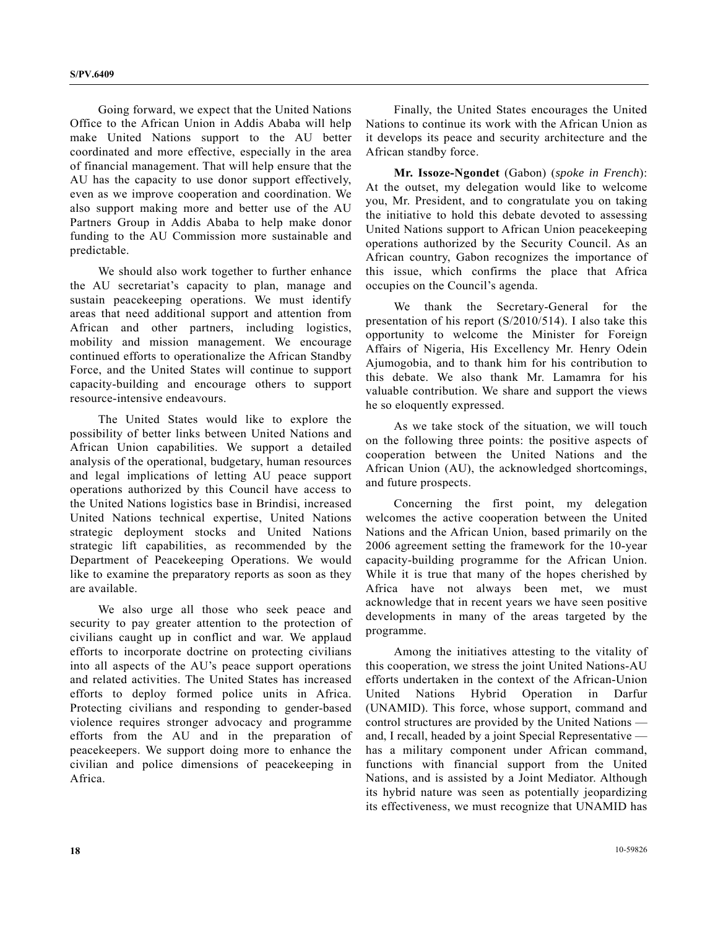Going forward, we expect that the United Nations Office to the African Union in Addis Ababa will help make United Nations support to the AU better coordinated and more effective, especially in the area of financial management. That will help ensure that the AU has the capacity to use donor support effectively, even as we improve cooperation and coordination. We also support making more and better use of the AU Partners Group in Addis Ababa to help make donor funding to the AU Commission more sustainable and predictable.

 We should also work together to further enhance the AU secretariat's capacity to plan, manage and sustain peacekeeping operations. We must identify areas that need additional support and attention from African and other partners, including logistics, mobility and mission management. We encourage continued efforts to operationalize the African Standby Force, and the United States will continue to support capacity-building and encourage others to support resource-intensive endeavours.

 The United States would like to explore the possibility of better links between United Nations and African Union capabilities. We support a detailed analysis of the operational, budgetary, human resources and legal implications of letting AU peace support operations authorized by this Council have access to the United Nations logistics base in Brindisi, increased United Nations technical expertise, United Nations strategic deployment stocks and United Nations strategic lift capabilities, as recommended by the Department of Peacekeeping Operations. We would like to examine the preparatory reports as soon as they are available.

 We also urge all those who seek peace and security to pay greater attention to the protection of civilians caught up in conflict and war. We applaud efforts to incorporate doctrine on protecting civilians into all aspects of the AU's peace support operations and related activities. The United States has increased efforts to deploy formed police units in Africa. Protecting civilians and responding to gender-based violence requires stronger advocacy and programme efforts from the AU and in the preparation of peacekeepers. We support doing more to enhance the civilian and police dimensions of peacekeeping in Africa.

 Finally, the United States encourages the United Nations to continue its work with the African Union as it develops its peace and security architecture and the African standby force.

**Mr. Issoze-Ngondet** (Gabon) (*spoke in French*): At the outset, my delegation would like to welcome you, Mr. President, and to congratulate you on taking the initiative to hold this debate devoted to assessing United Nations support to African Union peacekeeping operations authorized by the Security Council. As an African country, Gabon recognizes the importance of this issue, which confirms the place that Africa occupies on the Council's agenda.

 We thank the Secretary-General for the presentation of his report (S/2010/514). I also take this opportunity to welcome the Minister for Foreign Affairs of Nigeria, His Excellency Mr. Henry Odein Ajumogobia, and to thank him for his contribution to this debate. We also thank Mr. Lamamra for his valuable contribution. We share and support the views he so eloquently expressed.

 As we take stock of the situation, we will touch on the following three points: the positive aspects of cooperation between the United Nations and the African Union (AU), the acknowledged shortcomings, and future prospects.

 Concerning the first point, my delegation welcomes the active cooperation between the United Nations and the African Union, based primarily on the 2006 agreement setting the framework for the 10-year capacity-building programme for the African Union. While it is true that many of the hopes cherished by Africa have not always been met, we must acknowledge that in recent years we have seen positive developments in many of the areas targeted by the programme.

 Among the initiatives attesting to the vitality of this cooperation, we stress the joint United Nations-AU efforts undertaken in the context of the African-Union United Nations Hybrid Operation in Darfur (UNAMID). This force, whose support, command and control structures are provided by the United Nations and, I recall, headed by a joint Special Representative has a military component under African command, functions with financial support from the United Nations, and is assisted by a Joint Mediator. Although its hybrid nature was seen as potentially jeopardizing its effectiveness, we must recognize that UNAMID has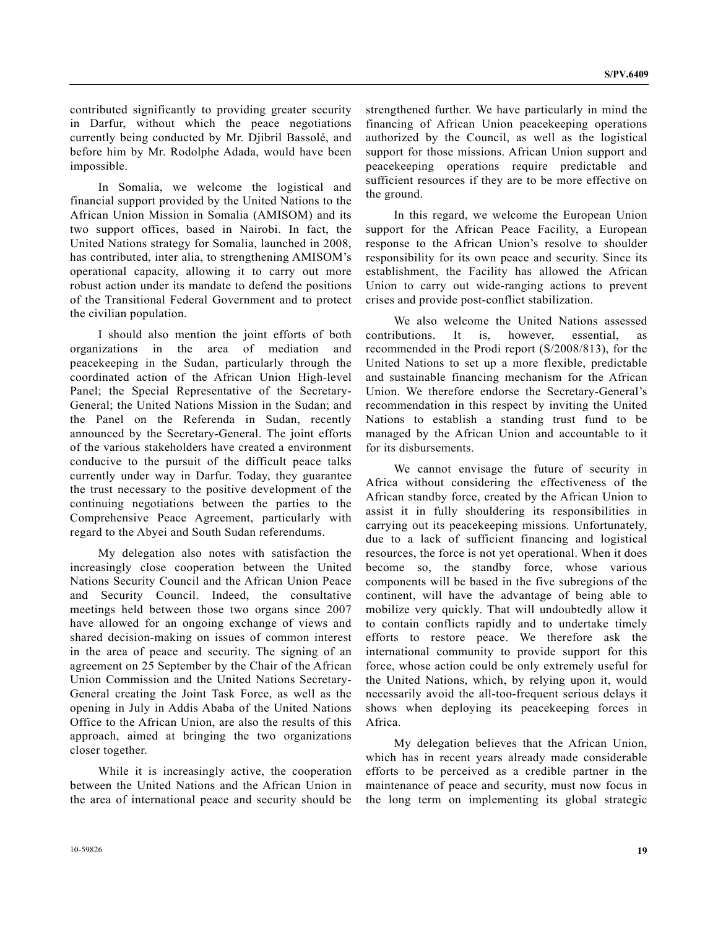contributed significantly to providing greater security in Darfur, without which the peace negotiations currently being conducted by Mr. Djibril Bassolé, and before him by Mr. Rodolphe Adada, would have been impossible.

 In Somalia, we welcome the logistical and financial support provided by the United Nations to the African Union Mission in Somalia (AMISOM) and its two support offices, based in Nairobi. In fact, the United Nations strategy for Somalia, launched in 2008, has contributed, inter alia, to strengthening AMISOM's operational capacity, allowing it to carry out more robust action under its mandate to defend the positions of the Transitional Federal Government and to protect the civilian population.

 I should also mention the joint efforts of both organizations in the area of mediation and peacekeeping in the Sudan, particularly through the coordinated action of the African Union High-level Panel; the Special Representative of the Secretary-General; the United Nations Mission in the Sudan; and the Panel on the Referenda in Sudan, recently announced by the Secretary-General. The joint efforts of the various stakeholders have created a environment conducive to the pursuit of the difficult peace talks currently under way in Darfur. Today, they guarantee the trust necessary to the positive development of the continuing negotiations between the parties to the Comprehensive Peace Agreement, particularly with regard to the Abyei and South Sudan referendums.

 My delegation also notes with satisfaction the increasingly close cooperation between the United Nations Security Council and the African Union Peace and Security Council. Indeed, the consultative meetings held between those two organs since 2007 have allowed for an ongoing exchange of views and shared decision-making on issues of common interest in the area of peace and security. The signing of an agreement on 25 September by the Chair of the African Union Commission and the United Nations Secretary-General creating the Joint Task Force, as well as the opening in July in Addis Ababa of the United Nations Office to the African Union, are also the results of this approach, aimed at bringing the two organizations closer together.

 While it is increasingly active, the cooperation between the United Nations and the African Union in the area of international peace and security should be strengthened further. We have particularly in mind the financing of African Union peacekeeping operations authorized by the Council, as well as the logistical support for those missions. African Union support and peacekeeping operations require predictable and sufficient resources if they are to be more effective on the ground.

 In this regard, we welcome the European Union support for the African Peace Facility, a European response to the African Union's resolve to shoulder responsibility for its own peace and security. Since its establishment, the Facility has allowed the African Union to carry out wide-ranging actions to prevent crises and provide post-conflict stabilization.

 We also welcome the United Nations assessed contributions. It is, however, essential, as recommended in the Prodi report (S/2008/813), for the United Nations to set up a more flexible, predictable and sustainable financing mechanism for the African Union. We therefore endorse the Secretary-General's recommendation in this respect by inviting the United Nations to establish a standing trust fund to be managed by the African Union and accountable to it for its disbursements.

 We cannot envisage the future of security in Africa without considering the effectiveness of the African standby force, created by the African Union to assist it in fully shouldering its responsibilities in carrying out its peacekeeping missions. Unfortunately, due to a lack of sufficient financing and logistical resources, the force is not yet operational. When it does become so, the standby force, whose various components will be based in the five subregions of the continent, will have the advantage of being able to mobilize very quickly. That will undoubtedly allow it to contain conflicts rapidly and to undertake timely efforts to restore peace. We therefore ask the international community to provide support for this force, whose action could be only extremely useful for the United Nations, which, by relying upon it, would necessarily avoid the all-too-frequent serious delays it shows when deploying its peacekeeping forces in Africa.

 My delegation believes that the African Union, which has in recent years already made considerable efforts to be perceived as a credible partner in the maintenance of peace and security, must now focus in the long term on implementing its global strategic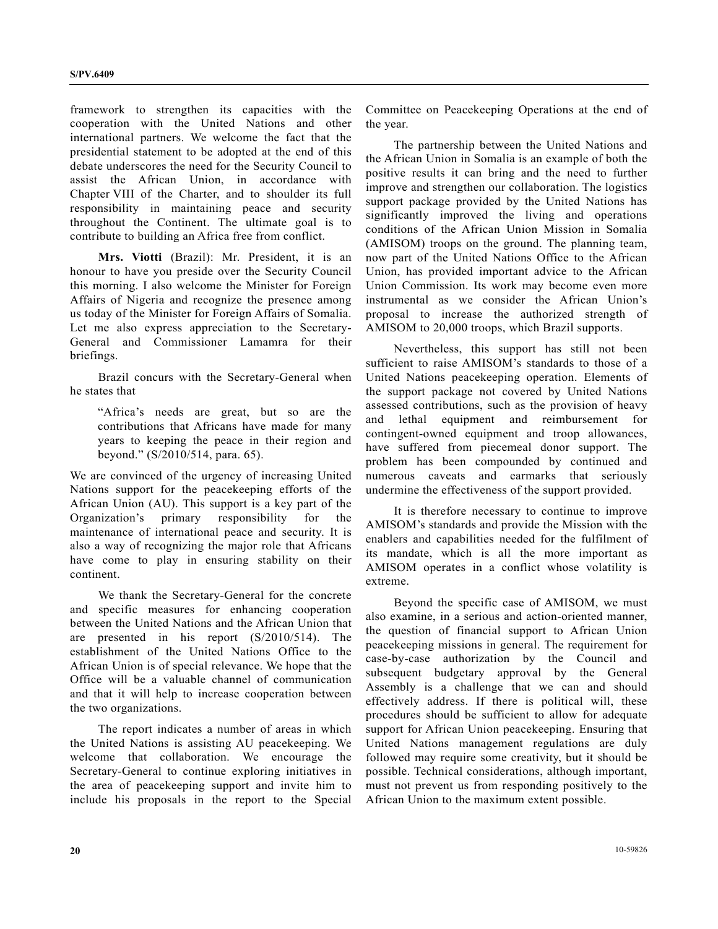framework to strengthen its capacities with the cooperation with the United Nations and other international partners. We welcome the fact that the presidential statement to be adopted at the end of this debate underscores the need for the Security Council to assist the African Union, in accordance with Chapter VIII of the Charter, and to shoulder its full responsibility in maintaining peace and security throughout the Continent. The ultimate goal is to contribute to building an Africa free from conflict.

**Mrs. Viotti** (Brazil): Mr. President, it is an honour to have you preside over the Security Council this morning. I also welcome the Minister for Foreign Affairs of Nigeria and recognize the presence among us today of the Minister for Foreign Affairs of Somalia. Let me also express appreciation to the Secretary-General and Commissioner Lamamra for their briefings.

 Brazil concurs with the Secretary-General when he states that

 "Africa's needs are great, but so are the contributions that Africans have made for many years to keeping the peace in their region and beyond." (S/2010/514, para. 65).

We are convinced of the urgency of increasing United Nations support for the peacekeeping efforts of the African Union (AU). This support is a key part of the Organization's primary responsibility for the maintenance of international peace and security. It is also a way of recognizing the major role that Africans have come to play in ensuring stability on their continent.

 We thank the Secretary-General for the concrete and specific measures for enhancing cooperation between the United Nations and the African Union that are presented in his report (S/2010/514). The establishment of the United Nations Office to the African Union is of special relevance. We hope that the Office will be a valuable channel of communication and that it will help to increase cooperation between the two organizations.

 The report indicates a number of areas in which the United Nations is assisting AU peacekeeping. We welcome that collaboration. We encourage the Secretary-General to continue exploring initiatives in the area of peacekeeping support and invite him to include his proposals in the report to the Special Committee on Peacekeeping Operations at the end of the year.

 The partnership between the United Nations and the African Union in Somalia is an example of both the positive results it can bring and the need to further improve and strengthen our collaboration. The logistics support package provided by the United Nations has significantly improved the living and operations conditions of the African Union Mission in Somalia (AMISOM) troops on the ground. The planning team, now part of the United Nations Office to the African Union, has provided important advice to the African Union Commission. Its work may become even more instrumental as we consider the African Union's proposal to increase the authorized strength of AMISOM to 20,000 troops, which Brazil supports.

 Nevertheless, this support has still not been sufficient to raise AMISOM's standards to those of a United Nations peacekeeping operation. Elements of the support package not covered by United Nations assessed contributions, such as the provision of heavy and lethal equipment and reimbursement for contingent-owned equipment and troop allowances, have suffered from piecemeal donor support. The problem has been compounded by continued and numerous caveats and earmarks that seriously undermine the effectiveness of the support provided.

 It is therefore necessary to continue to improve AMISOM's standards and provide the Mission with the enablers and capabilities needed for the fulfilment of its mandate, which is all the more important as AMISOM operates in a conflict whose volatility is extreme.

 Beyond the specific case of AMISOM, we must also examine, in a serious and action-oriented manner, the question of financial support to African Union peacekeeping missions in general. The requirement for case-by-case authorization by the Council and subsequent budgetary approval by the General Assembly is a challenge that we can and should effectively address. If there is political will, these procedures should be sufficient to allow for adequate support for African Union peacekeeping. Ensuring that United Nations management regulations are duly followed may require some creativity, but it should be possible. Technical considerations, although important, must not prevent us from responding positively to the African Union to the maximum extent possible.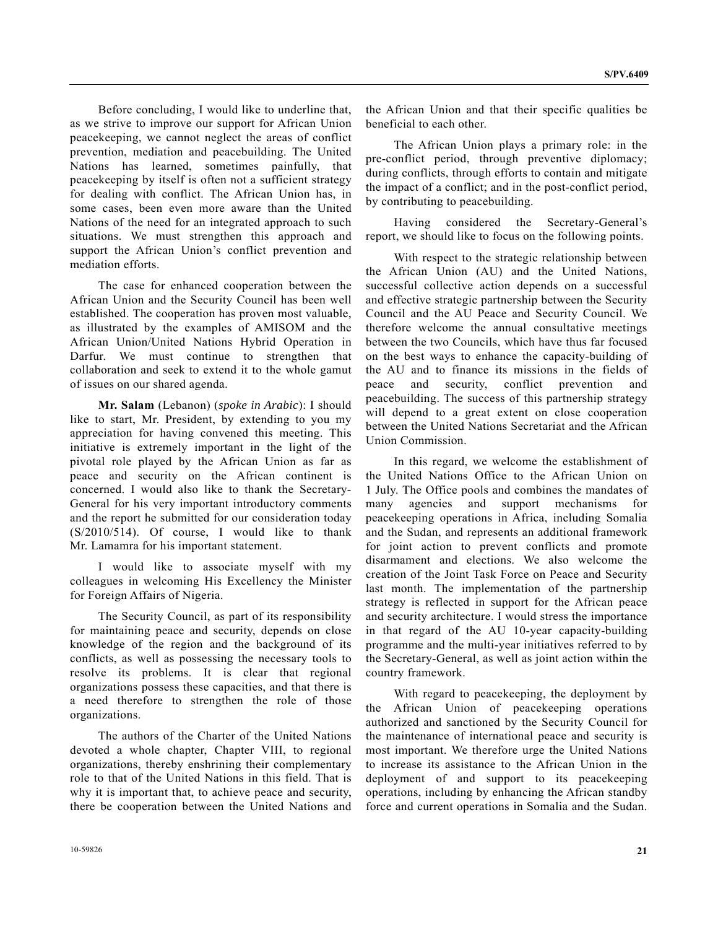Before concluding, I would like to underline that, as we strive to improve our support for African Union peacekeeping, we cannot neglect the areas of conflict prevention, mediation and peacebuilding. The United Nations has learned, sometimes painfully, that peacekeeping by itself is often not a sufficient strategy for dealing with conflict. The African Union has, in some cases, been even more aware than the United Nations of the need for an integrated approach to such situations. We must strengthen this approach and support the African Union's conflict prevention and mediation efforts.

 The case for enhanced cooperation between the African Union and the Security Council has been well established. The cooperation has proven most valuable, as illustrated by the examples of AMISOM and the African Union/United Nations Hybrid Operation in Darfur. We must continue to strengthen that collaboration and seek to extend it to the whole gamut of issues on our shared agenda.

**Mr. Salam** (Lebanon) (*spoke in Arabic*): I should like to start, Mr. President, by extending to you my appreciation for having convened this meeting. This initiative is extremely important in the light of the pivotal role played by the African Union as far as peace and security on the African continent is concerned. I would also like to thank the Secretary-General for his very important introductory comments and the report he submitted for our consideration today (S/2010/514). Of course, I would like to thank Mr. Lamamra for his important statement.

 I would like to associate myself with my colleagues in welcoming His Excellency the Minister for Foreign Affairs of Nigeria.

 The Security Council, as part of its responsibility for maintaining peace and security, depends on close knowledge of the region and the background of its conflicts, as well as possessing the necessary tools to resolve its problems. It is clear that regional organizations possess these capacities, and that there is a need therefore to strengthen the role of those organizations.

 The authors of the Charter of the United Nations devoted a whole chapter, Chapter VIII, to regional organizations, thereby enshrining their complementary role to that of the United Nations in this field. That is why it is important that, to achieve peace and security, there be cooperation between the United Nations and the African Union and that their specific qualities be beneficial to each other.

 The African Union plays a primary role: in the pre-conflict period, through preventive diplomacy; during conflicts, through efforts to contain and mitigate the impact of a conflict; and in the post-conflict period, by contributing to peacebuilding.

 Having considered the Secretary-General's report, we should like to focus on the following points.

 With respect to the strategic relationship between the African Union (AU) and the United Nations, successful collective action depends on a successful and effective strategic partnership between the Security Council and the AU Peace and Security Council. We therefore welcome the annual consultative meetings between the two Councils, which have thus far focused on the best ways to enhance the capacity-building of the AU and to finance its missions in the fields of peace and security, conflict prevention and peacebuilding. The success of this partnership strategy will depend to a great extent on close cooperation between the United Nations Secretariat and the African Union Commission.

 In this regard, we welcome the establishment of the United Nations Office to the African Union on 1 July. The Office pools and combines the mandates of many agencies and support mechanisms peacekeeping operations in Africa, including Somalia and the Sudan, and represents an additional framework for joint action to prevent conflicts and promote disarmament and elections. We also welcome the creation of the Joint Task Force on Peace and Security last month. The implementation of the partnership strategy is reflected in support for the African peace and security architecture. I would stress the importance in that regard of the AU 10-year capacity-building programme and the multi-year initiatives referred to by the Secretary-General, as well as joint action within the country framework.

 With regard to peacekeeping, the deployment by the African Union of peacekeeping operations authorized and sanctioned by the Security Council for the maintenance of international peace and security is most important. We therefore urge the United Nations to increase its assistance to the African Union in the deployment of and support to its peacekeeping operations, including by enhancing the African standby force and current operations in Somalia and the Sudan.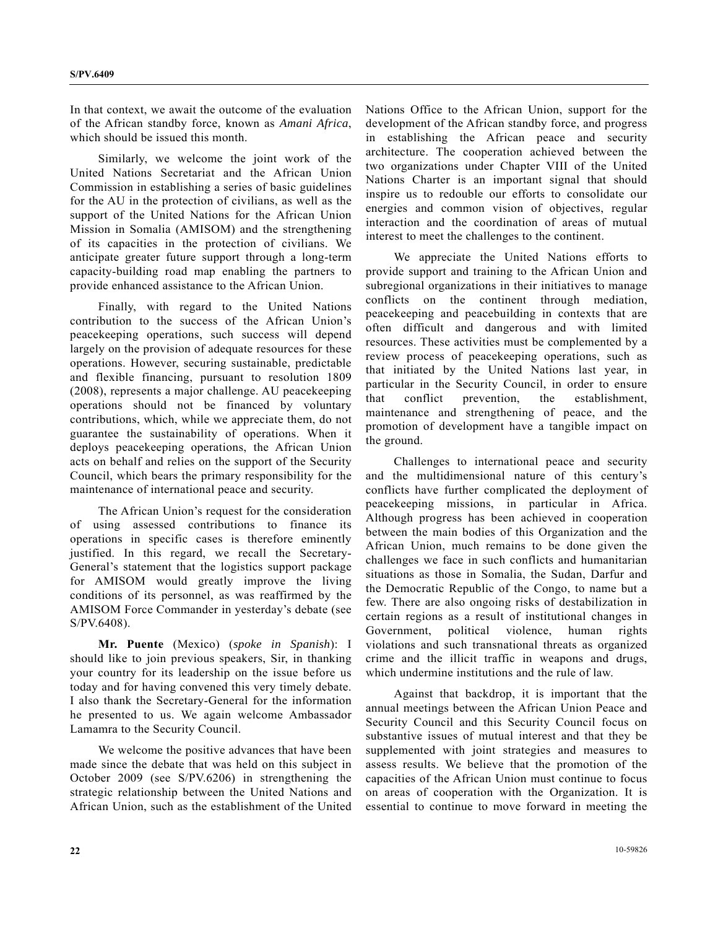In that context, we await the outcome of the evaluation of the African standby force, known as *Amani Africa*, which should be issued this month.

 Similarly, we welcome the joint work of the United Nations Secretariat and the African Union Commission in establishing a series of basic guidelines for the AU in the protection of civilians, as well as the support of the United Nations for the African Union Mission in Somalia (AMISOM) and the strengthening of its capacities in the protection of civilians. We anticipate greater future support through a long-term capacity-building road map enabling the partners to provide enhanced assistance to the African Union.

 Finally, with regard to the United Nations contribution to the success of the African Union's peacekeeping operations, such success will depend largely on the provision of adequate resources for these operations. However, securing sustainable, predictable and flexible financing, pursuant to resolution 1809 (2008), represents a major challenge. AU peacekeeping operations should not be financed by voluntary contributions, which, while we appreciate them, do not guarantee the sustainability of operations. When it deploys peacekeeping operations, the African Union acts on behalf and relies on the support of the Security Council, which bears the primary responsibility for the maintenance of international peace and security.

 The African Union's request for the consideration of using assessed contributions to finance its operations in specific cases is therefore eminently justified. In this regard, we recall the Secretary-General's statement that the logistics support package for AMISOM would greatly improve the living conditions of its personnel, as was reaffirmed by the AMISOM Force Commander in yesterday's debate (see S/PV.6408).

**Mr. Puente** (Mexico) (*spoke in Spanish*): I should like to join previous speakers, Sir, in thanking your country for its leadership on the issue before us today and for having convened this very timely debate. I also thank the Secretary-General for the information he presented to us. We again welcome Ambassador Lamamra to the Security Council.

 We welcome the positive advances that have been made since the debate that was held on this subject in October 2009 (see S/PV.6206) in strengthening the strategic relationship between the United Nations and African Union, such as the establishment of the United Nations Office to the African Union, support for the development of the African standby force, and progress in establishing the African peace and security architecture. The cooperation achieved between the two organizations under Chapter VIII of the United Nations Charter is an important signal that should inspire us to redouble our efforts to consolidate our energies and common vision of objectives, regular interaction and the coordination of areas of mutual interest to meet the challenges to the continent.

 We appreciate the United Nations efforts to provide support and training to the African Union and subregional organizations in their initiatives to manage conflicts on the continent through mediation, peacekeeping and peacebuilding in contexts that are often difficult and dangerous and with limited resources. These activities must be complemented by a review process of peacekeeping operations, such as that initiated by the United Nations last year, in particular in the Security Council, in order to ensure that conflict prevention, the establishment, maintenance and strengthening of peace, and the promotion of development have a tangible impact on the ground.

 Challenges to international peace and security and the multidimensional nature of this century's conflicts have further complicated the deployment of peacekeeping missions, in particular in Africa. Although progress has been achieved in cooperation between the main bodies of this Organization and the African Union, much remains to be done given the challenges we face in such conflicts and humanitarian situations as those in Somalia, the Sudan, Darfur and the Democratic Republic of the Congo, to name but a few. There are also ongoing risks of destabilization in certain regions as a result of institutional changes in Government, political violence, human rights violations and such transnational threats as organized crime and the illicit traffic in weapons and drugs, which undermine institutions and the rule of law.

 Against that backdrop, it is important that the annual meetings between the African Union Peace and Security Council and this Security Council focus on substantive issues of mutual interest and that they be supplemented with joint strategies and measures to assess results. We believe that the promotion of the capacities of the African Union must continue to focus on areas of cooperation with the Organization. It is essential to continue to move forward in meeting the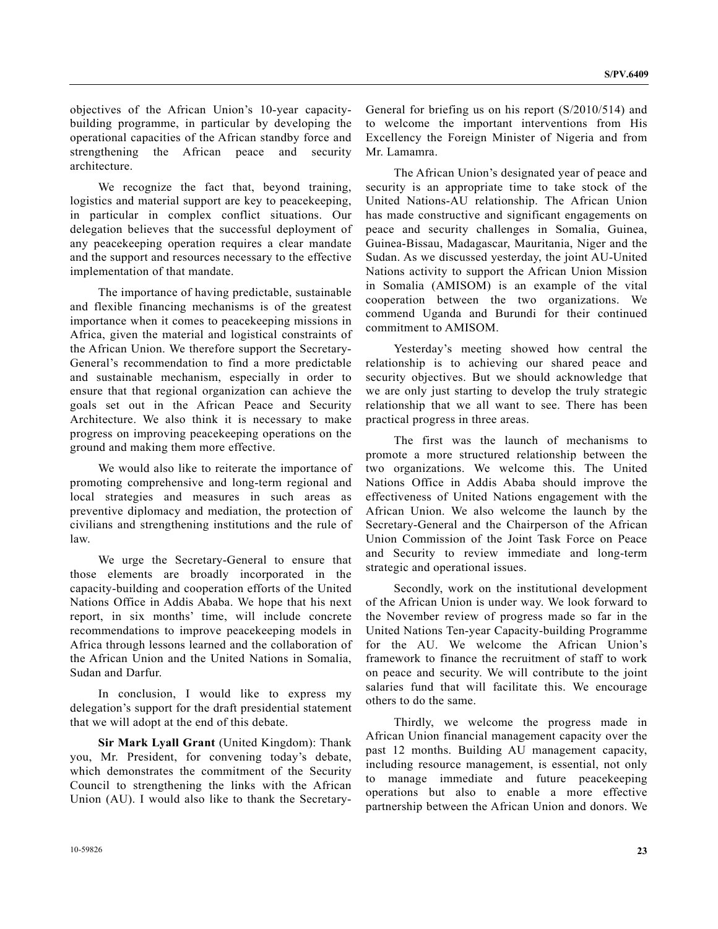objectives of the African Union's 10-year capacitybuilding programme, in particular by developing the operational capacities of the African standby force and strengthening the African peace and security architecture.

We recognize the fact that, beyond training, logistics and material support are key to peacekeeping, in particular in complex conflict situations. Our delegation believes that the successful deployment of any peacekeeping operation requires a clear mandate and the support and resources necessary to the effective implementation of that mandate.

 The importance of having predictable, sustainable and flexible financing mechanisms is of the greatest importance when it comes to peacekeeping missions in Africa, given the material and logistical constraints of the African Union. We therefore support the Secretary-General's recommendation to find a more predictable and sustainable mechanism, especially in order to ensure that that regional organization can achieve the goals set out in the African Peace and Security Architecture. We also think it is necessary to make progress on improving peacekeeping operations on the ground and making them more effective.

 We would also like to reiterate the importance of promoting comprehensive and long-term regional and local strategies and measures in such areas as preventive diplomacy and mediation, the protection of civilians and strengthening institutions and the rule of law.

 We urge the Secretary-General to ensure that those elements are broadly incorporated in the capacity-building and cooperation efforts of the United Nations Office in Addis Ababa. We hope that his next report, in six months' time, will include concrete recommendations to improve peacekeeping models in Africa through lessons learned and the collaboration of the African Union and the United Nations in Somalia, Sudan and Darfur.

 In conclusion, I would like to express my delegation's support for the draft presidential statement that we will adopt at the end of this debate.

**Sir Mark Lyall Grant** (United Kingdom): Thank you, Mr. President, for convening today's debate, which demonstrates the commitment of the Security Council to strengthening the links with the African Union (AU). I would also like to thank the SecretaryGeneral for briefing us on his report (S/2010/514) and to welcome the important interventions from His Excellency the Foreign Minister of Nigeria and from Mr. Lamamra.

 The African Union's designated year of peace and security is an appropriate time to take stock of the United Nations-AU relationship. The African Union has made constructive and significant engagements on peace and security challenges in Somalia, Guinea, Guinea-Bissau, Madagascar, Mauritania, Niger and the Sudan. As we discussed yesterday, the joint AU-United Nations activity to support the African Union Mission in Somalia (AMISOM) is an example of the vital cooperation between the two organizations. We commend Uganda and Burundi for their continued commitment to AMISOM.

 Yesterday's meeting showed how central the relationship is to achieving our shared peace and security objectives. But we should acknowledge that we are only just starting to develop the truly strategic relationship that we all want to see. There has been practical progress in three areas.

 The first was the launch of mechanisms to promote a more structured relationship between the two organizations. We welcome this. The United Nations Office in Addis Ababa should improve the effectiveness of United Nations engagement with the African Union. We also welcome the launch by the Secretary-General and the Chairperson of the African Union Commission of the Joint Task Force on Peace and Security to review immediate and long-term strategic and operational issues.

 Secondly, work on the institutional development of the African Union is under way. We look forward to the November review of progress made so far in the United Nations Ten-year Capacity-building Programme for the AU. We welcome the African Union's framework to finance the recruitment of staff to work on peace and security. We will contribute to the joint salaries fund that will facilitate this. We encourage others to do the same.

 Thirdly, we welcome the progress made in African Union financial management capacity over the past 12 months. Building AU management capacity, including resource management, is essential, not only to manage immediate and future peacekeeping operations but also to enable a more effective partnership between the African Union and donors. We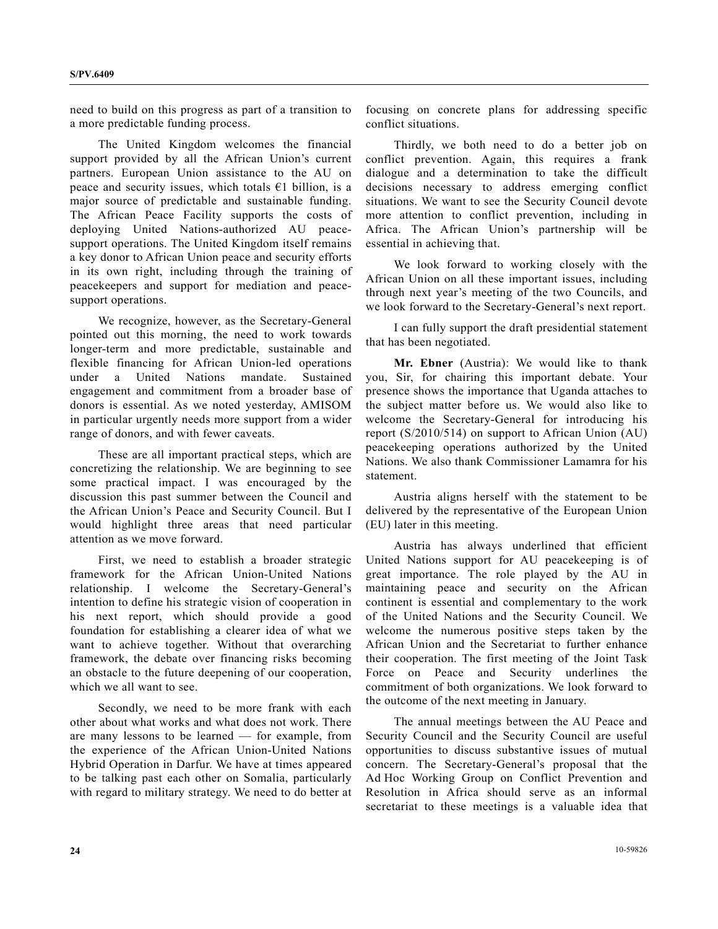need to build on this progress as part of a transition to a more predictable funding process.

 The United Kingdom welcomes the financial support provided by all the African Union's current partners. European Union assistance to the AU on peace and security issues, which totals  $E1$  billion, is a major source of predictable and sustainable funding. The African Peace Facility supports the costs of deploying United Nations-authorized AU peacesupport operations. The United Kingdom itself remains a key donor to African Union peace and security efforts in its own right, including through the training of peacekeepers and support for mediation and peacesupport operations.

 We recognize, however, as the Secretary-General pointed out this morning, the need to work towards longer-term and more predictable, sustainable and flexible financing for African Union-led operations under a United Nations mandate. Sustained engagement and commitment from a broader base of donors is essential. As we noted yesterday, AMISOM in particular urgently needs more support from a wider range of donors, and with fewer caveats.

 These are all important practical steps, which are concretizing the relationship. We are beginning to see some practical impact. I was encouraged by the discussion this past summer between the Council and the African Union's Peace and Security Council. But I would highlight three areas that need particular attention as we move forward.

 First, we need to establish a broader strategic framework for the African Union-United Nations relationship. I welcome the Secretary-General's intention to define his strategic vision of cooperation in his next report, which should provide a good foundation for establishing a clearer idea of what we want to achieve together. Without that overarching framework, the debate over financing risks becoming an obstacle to the future deepening of our cooperation, which we all want to see.

 Secondly, we need to be more frank with each other about what works and what does not work. There are many lessons to be learned — for example, from the experience of the African Union-United Nations Hybrid Operation in Darfur. We have at times appeared to be talking past each other on Somalia, particularly with regard to military strategy. We need to do better at focusing on concrete plans for addressing specific conflict situations.

 Thirdly, we both need to do a better job on conflict prevention. Again, this requires a frank dialogue and a determination to take the difficult decisions necessary to address emerging conflict situations. We want to see the Security Council devote more attention to conflict prevention, including in Africa. The African Union's partnership will be essential in achieving that.

 We look forward to working closely with the African Union on all these important issues, including through next year's meeting of the two Councils, and we look forward to the Secretary-General's next report.

 I can fully support the draft presidential statement that has been negotiated.

**Mr. Ebner** (Austria): We would like to thank you, Sir, for chairing this important debate. Your presence shows the importance that Uganda attaches to the subject matter before us. We would also like to welcome the Secretary-General for introducing his report (S/2010/514) on support to African Union (AU) peacekeeping operations authorized by the United Nations. We also thank Commissioner Lamamra for his statement.

 Austria aligns herself with the statement to be delivered by the representative of the European Union (EU) later in this meeting.

 Austria has always underlined that efficient United Nations support for AU peacekeeping is of great importance. The role played by the AU in maintaining peace and security on the African continent is essential and complementary to the work of the United Nations and the Security Council. We welcome the numerous positive steps taken by the African Union and the Secretariat to further enhance their cooperation. The first meeting of the Joint Task Force on Peace and Security underlines the commitment of both organizations. We look forward to the outcome of the next meeting in January.

 The annual meetings between the AU Peace and Security Council and the Security Council are useful opportunities to discuss substantive issues of mutual concern. The Secretary-General's proposal that the Ad Hoc Working Group on Conflict Prevention and Resolution in Africa should serve as an informal secretariat to these meetings is a valuable idea that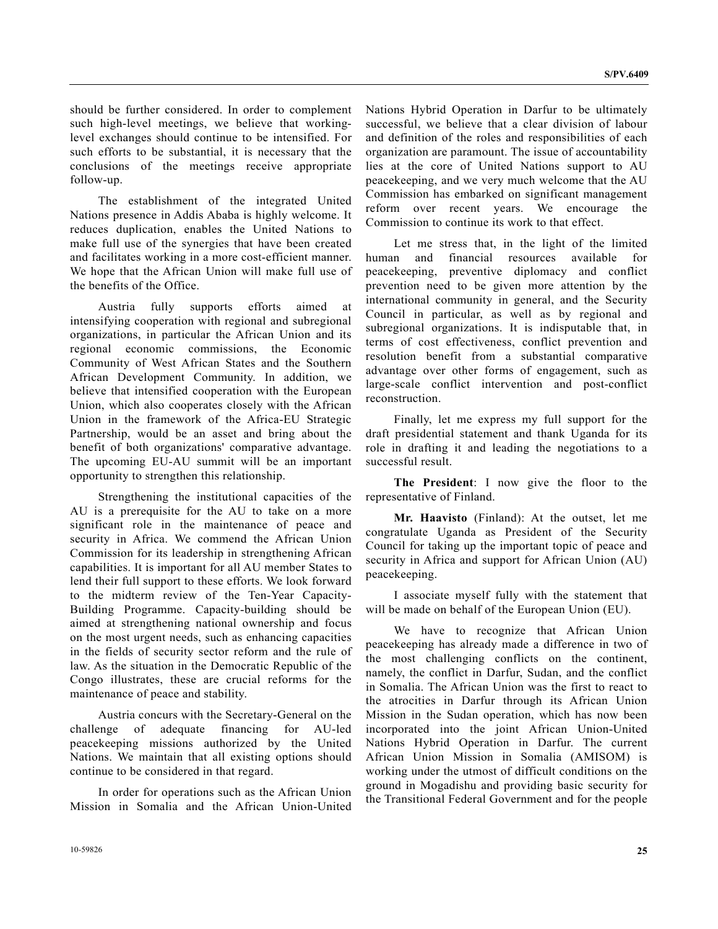should be further considered. In order to complement such high-level meetings, we believe that workinglevel exchanges should continue to be intensified. For such efforts to be substantial, it is necessary that the conclusions of the meetings receive appropriate follow-up.

 The establishment of the integrated United Nations presence in Addis Ababa is highly welcome. It reduces duplication, enables the United Nations to make full use of the synergies that have been created and facilitates working in a more cost-efficient manner. We hope that the African Union will make full use of the benefits of the Office.

 Austria fully supports efforts aimed at intensifying cooperation with regional and subregional organizations, in particular the African Union and its regional economic commissions, the Economic Community of West African States and the Southern African Development Community. In addition, we believe that intensified cooperation with the European Union, which also cooperates closely with the African Union in the framework of the Africa-EU Strategic Partnership, would be an asset and bring about the benefit of both organizations' comparative advantage. The upcoming EU-AU summit will be an important opportunity to strengthen this relationship.

 Strengthening the institutional capacities of the AU is a prerequisite for the AU to take on a more significant role in the maintenance of peace and security in Africa. We commend the African Union Commission for its leadership in strengthening African capabilities. It is important for all AU member States to lend their full support to these efforts. We look forward to the midterm review of the Ten-Year Capacity-Building Programme. Capacity-building should be aimed at strengthening national ownership and focus on the most urgent needs, such as enhancing capacities in the fields of security sector reform and the rule of law. As the situation in the Democratic Republic of the Congo illustrates, these are crucial reforms for the maintenance of peace and stability.

 Austria concurs with the Secretary-General on the challenge of adequate financing for AU-led peacekeeping missions authorized by the United Nations. We maintain that all existing options should continue to be considered in that regard.

 In order for operations such as the African Union Mission in Somalia and the African Union-United Nations Hybrid Operation in Darfur to be ultimately successful, we believe that a clear division of labour and definition of the roles and responsibilities of each organization are paramount. The issue of accountability lies at the core of United Nations support to AU peacekeeping, and we very much welcome that the AU Commission has embarked on significant management reform over recent years. We encourage the Commission to continue its work to that effect.

 Let me stress that, in the light of the limited human and financial resources available for peacekeeping, preventive diplomacy and conflict prevention need to be given more attention by the international community in general, and the Security Council in particular, as well as by regional and subregional organizations. It is indisputable that, in terms of cost effectiveness, conflict prevention and resolution benefit from a substantial comparative advantage over other forms of engagement, such as large-scale conflict intervention and post-conflict reconstruction.

 Finally, let me express my full support for the draft presidential statement and thank Uganda for its role in drafting it and leading the negotiations to a successful result.

**The President**: I now give the floor to the representative of Finland.

**Mr. Haavisto** (Finland): At the outset, let me congratulate Uganda as President of the Security Council for taking up the important topic of peace and security in Africa and support for African Union (AU) peacekeeping.

 I associate myself fully with the statement that will be made on behalf of the European Union (EU).

 We have to recognize that African Union peacekeeping has already made a difference in two of the most challenging conflicts on the continent, namely, the conflict in Darfur, Sudan, and the conflict in Somalia. The African Union was the first to react to the atrocities in Darfur through its African Union Mission in the Sudan operation, which has now been incorporated into the joint African Union-United Nations Hybrid Operation in Darfur. The current African Union Mission in Somalia (AMISOM) is working under the utmost of difficult conditions on the ground in Mogadishu and providing basic security for the Transitional Federal Government and for the people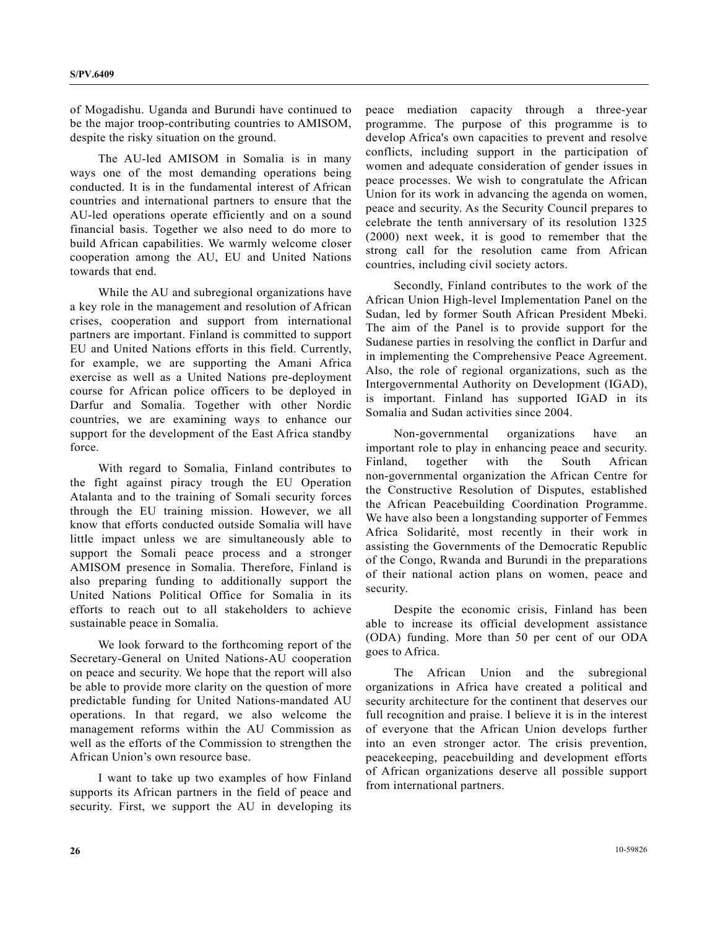of Mogadishu. Uganda and Burundi have continued to be the major troop-contributing countries to AMISOM, despite the risky situation on the ground.

 The AU-led AMISOM in Somalia is in many ways one of the most demanding operations being conducted. It is in the fundamental interest of African countries and international partners to ensure that the AU-led operations operate efficiently and on a sound financial basis. Together we also need to do more to build African capabilities. We warmly welcome closer cooperation among the AU, EU and United Nations towards that end.

 While the AU and subregional organizations have a key role in the management and resolution of African crises, cooperation and support from international partners are important. Finland is committed to support EU and United Nations efforts in this field. Currently, for example, we are supporting the Amani Africa exercise as well as a United Nations pre-deployment course for African police officers to be deployed in Darfur and Somalia. Together with other Nordic countries, we are examining ways to enhance our support for the development of the East Africa standby force.

 With regard to Somalia, Finland contributes to the fight against piracy trough the EU Operation Atalanta and to the training of Somali security forces through the EU training mission. However, we all know that efforts conducted outside Somalia will have little impact unless we are simultaneously able to support the Somali peace process and a stronger AMISOM presence in Somalia. Therefore, Finland is also preparing funding to additionally support the United Nations Political Office for Somalia in its efforts to reach out to all stakeholders to achieve sustainable peace in Somalia.

 We look forward to the forthcoming report of the Secretary-General on United Nations-AU cooperation on peace and security. We hope that the report will also be able to provide more clarity on the question of more predictable funding for United Nations-mandated AU operations. In that regard, we also welcome the management reforms within the AU Commission as well as the efforts of the Commission to strengthen the African Union's own resource base.

 I want to take up two examples of how Finland supports its African partners in the field of peace and security. First, we support the AU in developing its peace mediation capacity through a three-year programme. The purpose of this programme is to develop Africa's own capacities to prevent and resolve conflicts, including support in the participation of women and adequate consideration of gender issues in peace processes. We wish to congratulate the African Union for its work in advancing the agenda on women, peace and security. As the Security Council prepares to celebrate the tenth anniversary of its resolution 1325 (2000) next week, it is good to remember that the strong call for the resolution came from African countries, including civil society actors.

 Secondly, Finland contributes to the work of the African Union High-level Implementation Panel on the Sudan, led by former South African President Mbeki. The aim of the Panel is to provide support for the Sudanese parties in resolving the conflict in Darfur and in implementing the Comprehensive Peace Agreement. Also, the role of regional organizations, such as the Intergovernmental Authority on Development (IGAD), is important. Finland has supported IGAD in its Somalia and Sudan activities since 2004.

 Non-governmental organizations have an important role to play in enhancing peace and security. Finland, together with the South African non-governmental organization the African Centre for the Constructive Resolution of Disputes, established the African Peacebuilding Coordination Programme. We have also been a longstanding supporter of Femmes Africa Solidarité, most recently in their work in assisting the Governments of the Democratic Republic of the Congo, Rwanda and Burundi in the preparations of their national action plans on women, peace and security.

 Despite the economic crisis, Finland has been able to increase its official development assistance (ODA) funding. More than 50 per cent of our ODA goes to Africa.

 The African Union and the subregional organizations in Africa have created a political and security architecture for the continent that deserves our full recognition and praise. I believe it is in the interest of everyone that the African Union develops further into an even stronger actor. The crisis prevention, peacekeeping, peacebuilding and development efforts of African organizations deserve all possible support from international partners.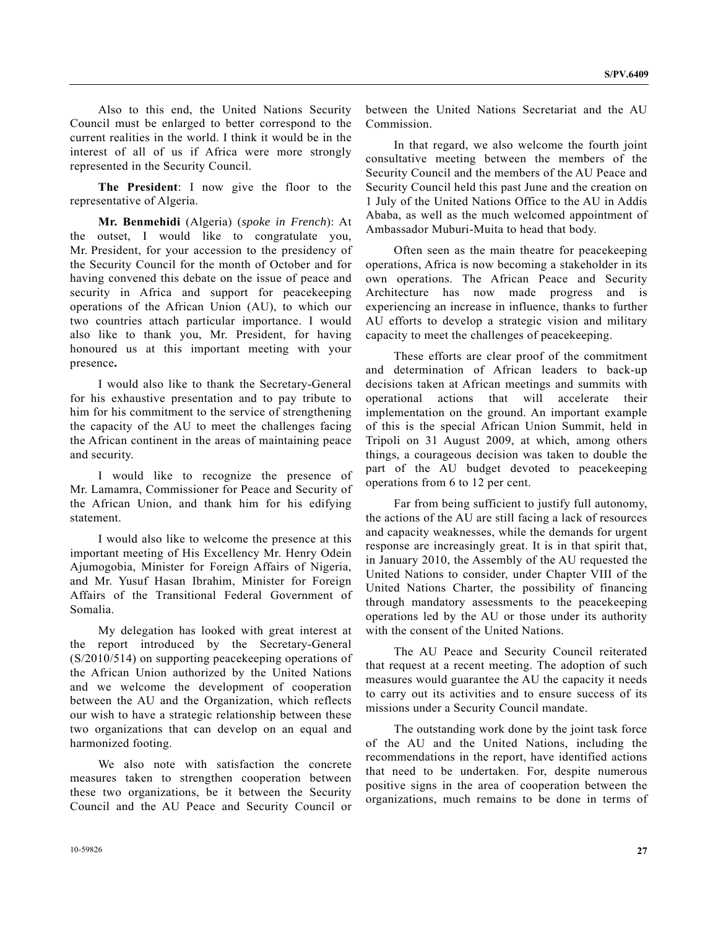Also to this end, the United Nations Security Council must be enlarged to better correspond to the current realities in the world. I think it would be in the interest of all of us if Africa were more strongly represented in the Security Council.

 **The President**: I now give the floor to the representative of Algeria.

 **Mr. Benmehidi** (Algeria) (*spoke in French*): At the outset, I would like to congratulate you, Mr. President, for your accession to the presidency of the Security Council for the month of October and for having convened this debate on the issue of peace and security in Africa and support for peacekeeping operations of the African Union (AU), to which our two countries attach particular importance. I would also like to thank you, Mr. President, for having honoured us at this important meeting with your presence**.**

 I would also like to thank the Secretary-General for his exhaustive presentation and to pay tribute to him for his commitment to the service of strengthening the capacity of the AU to meet the challenges facing the African continent in the areas of maintaining peace and security.

 I would like to recognize the presence of Mr. Lamamra, Commissioner for Peace and Security of the African Union, and thank him for his edifying statement.

 I would also like to welcome the presence at this important meeting of His Excellency Mr. Henry Odein Ajumogobia, Minister for Foreign Affairs of Nigeria, and Mr. Yusuf Hasan Ibrahim, Minister for Foreign Affairs of the Transitional Federal Government of Somalia.

 My delegation has looked with great interest at the report introduced by the Secretary-General (S/2010/514) on supporting peacekeeping operations of the African Union authorized by the United Nations and we welcome the development of cooperation between the AU and the Organization, which reflects our wish to have a strategic relationship between these two organizations that can develop on an equal and harmonized footing.

 We also note with satisfaction the concrete measures taken to strengthen cooperation between these two organizations, be it between the Security Council and the AU Peace and Security Council or

between the United Nations Secretariat and the AU Commission.

 In that regard, we also welcome the fourth joint consultative meeting between the members of the Security Council and the members of the AU Peace and Security Council held this past June and the creation on 1 July of the United Nations Office to the AU in Addis Ababa, as well as the much welcomed appointment of Ambassador Muburi-Muita to head that body.

 Often seen as the main theatre for peacekeeping operations, Africa is now becoming a stakeholder in its own operations. The African Peace and Security Architecture has now made progress and is experiencing an increase in influence, thanks to further AU efforts to develop a strategic vision and military capacity to meet the challenges of peacekeeping.

 These efforts are clear proof of the commitment and determination of African leaders to back-up decisions taken at African meetings and summits with operational actions that will accelerate their implementation on the ground. An important example of this is the special African Union Summit, held in Tripoli on 31 August 2009, at which, among others things, a courageous decision was taken to double the part of the AU budget devoted to peacekeeping operations from 6 to 12 per cent.

 Far from being sufficient to justify full autonomy, the actions of the AU are still facing a lack of resources and capacity weaknesses, while the demands for urgent response are increasingly great. It is in that spirit that, in January 2010, the Assembly of the AU requested the United Nations to consider, under Chapter VIII of the United Nations Charter, the possibility of financing through mandatory assessments to the peacekeeping operations led by the AU or those under its authority with the consent of the United Nations.

 The AU Peace and Security Council reiterated that request at a recent meeting. The adoption of such measures would guarantee the AU the capacity it needs to carry out its activities and to ensure success of its missions under a Security Council mandate.

 The outstanding work done by the joint task force of the AU and the United Nations, including the recommendations in the report, have identified actions that need to be undertaken. For, despite numerous positive signs in the area of cooperation between the organizations, much remains to be done in terms of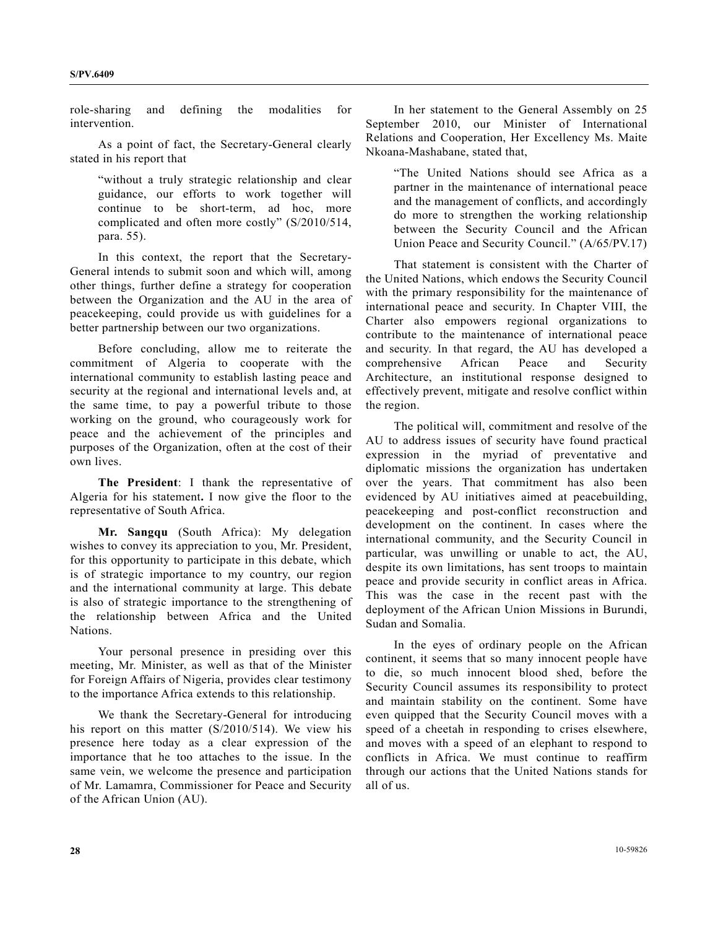role-sharing and defining the modalities for intervention.

 As a point of fact, the Secretary-General clearly stated in his report that

"without a truly strategic relationship and clear guidance, our efforts to work together will continue to be short-term, ad hoc, more complicated and often more costly" (S/2010/514, para. 55).

 In this context, the report that the Secretary-General intends to submit soon and which will, among other things, further define a strategy for cooperation between the Organization and the AU in the area of peacekeeping, could provide us with guidelines for a better partnership between our two organizations.

 Before concluding, allow me to reiterate the commitment of Algeria to cooperate with the international community to establish lasting peace and security at the regional and international levels and, at the same time, to pay a powerful tribute to those working on the ground, who courageously work for peace and the achievement of the principles and purposes of the Organization, often at the cost of their own lives.

 **The President**: I thank the representative of Algeria for his statement**.** I now give the floor to the representative of South Africa.

 **Mr. Sangqu** (South Africa): My delegation wishes to convey its appreciation to you, Mr. President, for this opportunity to participate in this debate, which is of strategic importance to my country, our region and the international community at large. This debate is also of strategic importance to the strengthening of the relationship between Africa and the United Nations.

 Your personal presence in presiding over this meeting, Mr. Minister, as well as that of the Minister for Foreign Affairs of Nigeria, provides clear testimony to the importance Africa extends to this relationship.

 We thank the Secretary-General for introducing his report on this matter (S/2010/514). We view his presence here today as a clear expression of the importance that he too attaches to the issue. In the same vein, we welcome the presence and participation of Mr. Lamamra, Commissioner for Peace and Security of the African Union (AU).

 In her statement to the General Assembly on 25 September 2010, our Minister of International Relations and Cooperation, Her Excellency Ms. Maite Nkoana-Mashabane, stated that,

"The United Nations should see Africa as a partner in the maintenance of international peace and the management of conflicts, and accordingly do more to strengthen the working relationship between the Security Council and the African Union Peace and Security Council." (A/65/PV.17)

 That statement is consistent with the Charter of the United Nations, which endows the Security Council with the primary responsibility for the maintenance of international peace and security. In Chapter VIII, the Charter also empowers regional organizations to contribute to the maintenance of international peace and security. In that regard, the AU has developed a comprehensive African Peace and Security Architecture, an institutional response designed to effectively prevent, mitigate and resolve conflict within the region.

 The political will, commitment and resolve of the AU to address issues of security have found practical expression in the myriad of preventative and diplomatic missions the organization has undertaken over the years. That commitment has also been evidenced by AU initiatives aimed at peacebuilding, peacekeeping and post-conflict reconstruction and development on the continent. In cases where the international community, and the Security Council in particular, was unwilling or unable to act, the AU, despite its own limitations, has sent troops to maintain peace and provide security in conflict areas in Africa. This was the case in the recent past with the deployment of the African Union Missions in Burundi, Sudan and Somalia.

 In the eyes of ordinary people on the African continent, it seems that so many innocent people have to die, so much innocent blood shed, before the Security Council assumes its responsibility to protect and maintain stability on the continent. Some have even quipped that the Security Council moves with a speed of a cheetah in responding to crises elsewhere, and moves with a speed of an elephant to respond to conflicts in Africa. We must continue to reaffirm through our actions that the United Nations stands for all of us.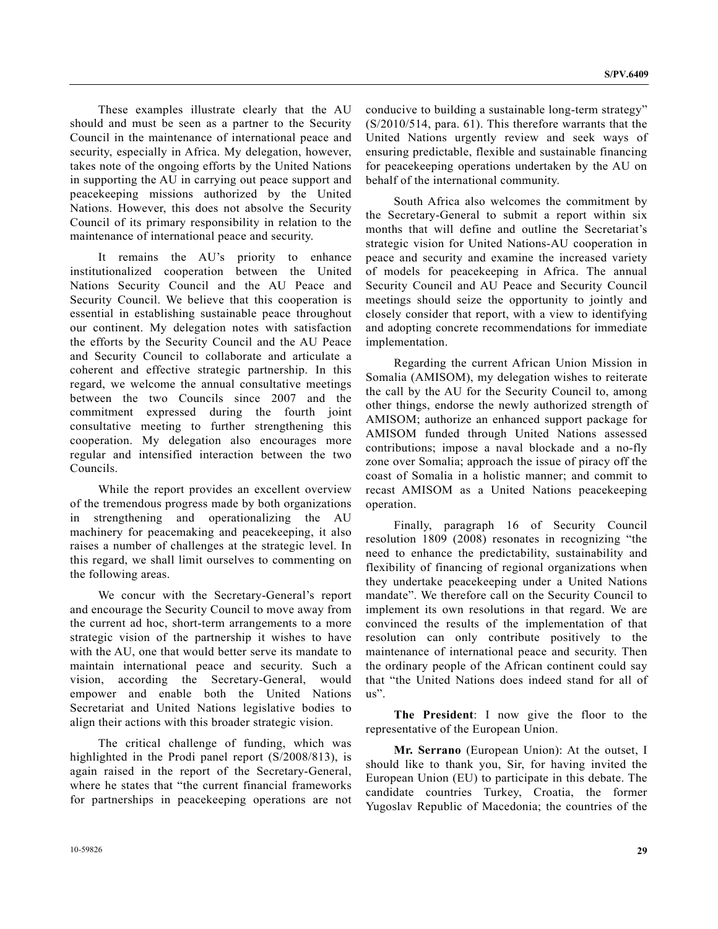These examples illustrate clearly that the AU should and must be seen as a partner to the Security Council in the maintenance of international peace and security, especially in Africa. My delegation, however, takes note of the ongoing efforts by the United Nations in supporting the AU in carrying out peace support and peacekeeping missions authorized by the United Nations. However, this does not absolve the Security Council of its primary responsibility in relation to the maintenance of international peace and security.

 It remains the AU's priority to enhance institutionalized cooperation between the United Nations Security Council and the AU Peace and Security Council. We believe that this cooperation is essential in establishing sustainable peace throughout our continent. My delegation notes with satisfaction the efforts by the Security Council and the AU Peace and Security Council to collaborate and articulate a coherent and effective strategic partnership. In this regard, we welcome the annual consultative meetings between the two Councils since 2007 and the commitment expressed during the fourth joint consultative meeting to further strengthening this cooperation. My delegation also encourages more regular and intensified interaction between the two Councils.

 While the report provides an excellent overview of the tremendous progress made by both organizations in strengthening and operationalizing the AU machinery for peacemaking and peacekeeping, it also raises a number of challenges at the strategic level. In this regard, we shall limit ourselves to commenting on the following areas.

 We concur with the Secretary-General's report and encourage the Security Council to move away from the current ad hoc, short-term arrangements to a more strategic vision of the partnership it wishes to have with the AU, one that would better serve its mandate to maintain international peace and security. Such a vision, according the Secretary-General, would empower and enable both the United Nations Secretariat and United Nations legislative bodies to align their actions with this broader strategic vision.

 The critical challenge of funding, which was highlighted in the Prodi panel report (S/2008/813), is again raised in the report of the Secretary-General, where he states that "the current financial frameworks for partnerships in peacekeeping operations are not conducive to building a sustainable long-term strategy" (S/2010/514, para. 61). This therefore warrants that the United Nations urgently review and seek ways of ensuring predictable, flexible and sustainable financing for peacekeeping operations undertaken by the AU on behalf of the international community.

 South Africa also welcomes the commitment by the Secretary-General to submit a report within six months that will define and outline the Secretariat's strategic vision for United Nations-AU cooperation in peace and security and examine the increased variety of models for peacekeeping in Africa. The annual Security Council and AU Peace and Security Council meetings should seize the opportunity to jointly and closely consider that report, with a view to identifying and adopting concrete recommendations for immediate implementation.

 Regarding the current African Union Mission in Somalia (AMISOM), my delegation wishes to reiterate the call by the AU for the Security Council to, among other things, endorse the newly authorized strength of AMISOM; authorize an enhanced support package for AMISOM funded through United Nations assessed contributions; impose a naval blockade and a no-fly zone over Somalia; approach the issue of piracy off the coast of Somalia in a holistic manner; and commit to recast AMISOM as a United Nations peacekeeping operation.

 Finally, paragraph 16 of Security Council resolution 1809 (2008) resonates in recognizing "the need to enhance the predictability, sustainability and flexibility of financing of regional organizations when they undertake peacekeeping under a United Nations mandate". We therefore call on the Security Council to implement its own resolutions in that regard. We are convinced the results of the implementation of that resolution can only contribute positively to the maintenance of international peace and security. Then the ordinary people of the African continent could say that "the United Nations does indeed stand for all of us".

 **The President**: I now give the floor to the representative of the European Union.

 **Mr. Serrano** (European Union): At the outset, I should like to thank you, Sir, for having invited the European Union (EU) to participate in this debate. The candidate countries Turkey, Croatia, the former Yugoslav Republic of Macedonia; the countries of the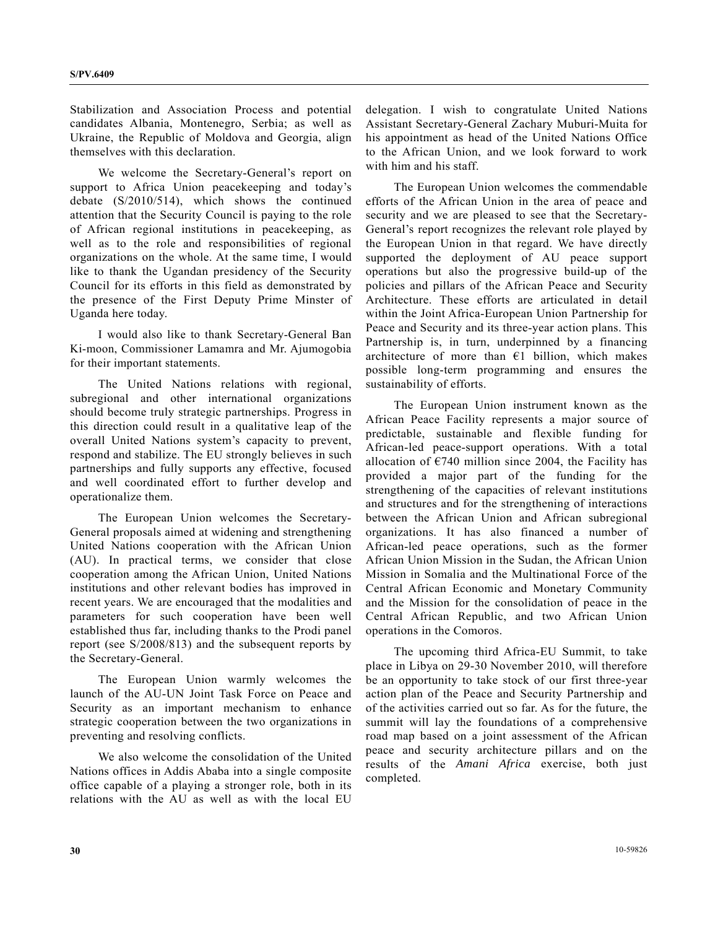Stabilization and Association Process and potential candidates Albania, Montenegro, Serbia; as well as Ukraine, the Republic of Moldova and Georgia, align themselves with this declaration.

 We welcome the Secretary-General's report on support to Africa Union peacekeeping and today's debate (S/2010/514), which shows the continued attention that the Security Council is paying to the role of African regional institutions in peacekeeping, as well as to the role and responsibilities of regional organizations on the whole. At the same time, I would like to thank the Ugandan presidency of the Security Council for its efforts in this field as demonstrated by the presence of the First Deputy Prime Minster of Uganda here today.

 I would also like to thank Secretary-General Ban Ki-moon, Commissioner Lamamra and Mr. Ajumogobia for their important statements.

 The United Nations relations with regional, subregional and other international organizations should become truly strategic partnerships. Progress in this direction could result in a qualitative leap of the overall United Nations system's capacity to prevent, respond and stabilize. The EU strongly believes in such partnerships and fully supports any effective, focused and well coordinated effort to further develop and operationalize them.

 The European Union welcomes the Secretary-General proposals aimed at widening and strengthening United Nations cooperation with the African Union (AU). In practical terms, we consider that close cooperation among the African Union, United Nations institutions and other relevant bodies has improved in recent years. We are encouraged that the modalities and parameters for such cooperation have been well established thus far, including thanks to the Prodi panel report (see S/2008/813) and the subsequent reports by the Secretary-General.

 The European Union warmly welcomes the launch of the AU-UN Joint Task Force on Peace and Security as an important mechanism to enhance strategic cooperation between the two organizations in preventing and resolving conflicts.

 We also welcome the consolidation of the United Nations offices in Addis Ababa into a single composite office capable of a playing a stronger role, both in its relations with the AU as well as with the local EU

delegation. I wish to congratulate United Nations Assistant Secretary-General Zachary Muburi-Muita for his appointment as head of the United Nations Office to the African Union, and we look forward to work with him and his staff.

 The European Union welcomes the commendable efforts of the African Union in the area of peace and security and we are pleased to see that the Secretary-General's report recognizes the relevant role played by the European Union in that regard. We have directly supported the deployment of AU peace support operations but also the progressive build-up of the policies and pillars of the African Peace and Security Architecture. These efforts are articulated in detail within the Joint Africa-European Union Partnership for Peace and Security and its three-year action plans. This Partnership is, in turn, underpinned by a financing architecture of more than  $\epsilon$ 1 billion, which makes possible long-term programming and ensures the sustainability of efforts.

 The European Union instrument known as the African Peace Facility represents a major source of predictable, sustainable and flexible funding for African-led peace-support operations. With a total allocation of  $\epsilon$ 740 million since 2004, the Facility has provided a major part of the funding for the strengthening of the capacities of relevant institutions and structures and for the strengthening of interactions between the African Union and African subregional organizations. It has also financed a number of African-led peace operations, such as the former African Union Mission in the Sudan, the African Union Mission in Somalia and the Multinational Force of the Central African Economic and Monetary Community and the Mission for the consolidation of peace in the Central African Republic, and two African Union operations in the Comoros.

 The upcoming third Africa-EU Summit, to take place in Libya on 29-30 November 2010, will therefore be an opportunity to take stock of our first three-year action plan of the Peace and Security Partnership and of the activities carried out so far. As for the future, the summit will lay the foundations of a comprehensive road map based on a joint assessment of the African peace and security architecture pillars and on the results of the *Amani Africa* exercise, both just completed.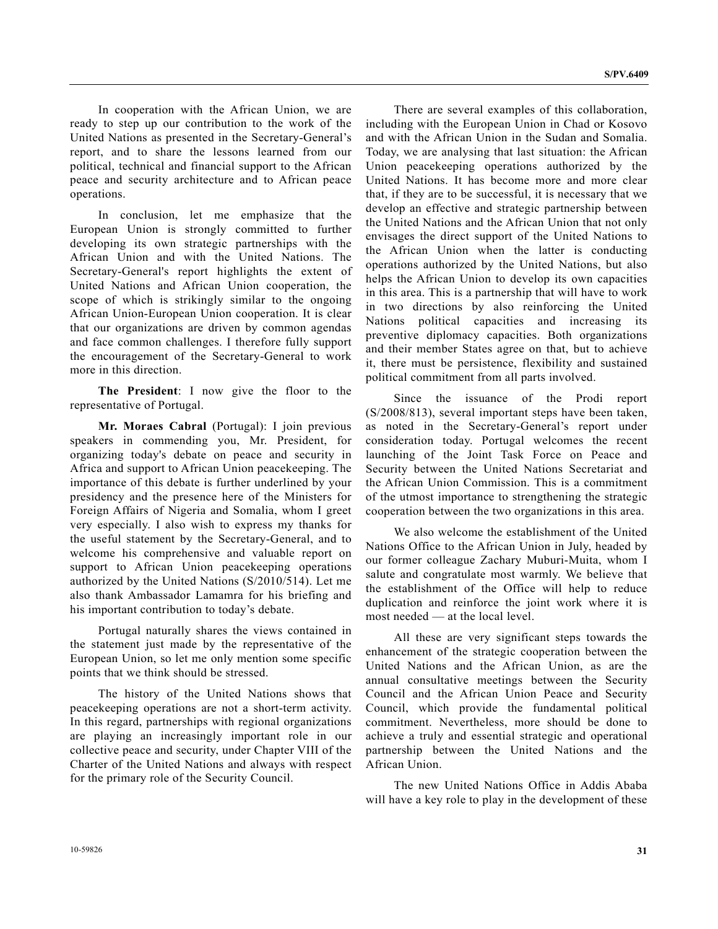In cooperation with the African Union, we are ready to step up our contribution to the work of the United Nations as presented in the Secretary-General's report, and to share the lessons learned from our political, technical and financial support to the African peace and security architecture and to African peace operations.

 In conclusion, let me emphasize that the European Union is strongly committed to further developing its own strategic partnerships with the African Union and with the United Nations. The Secretary-General's report highlights the extent of United Nations and African Union cooperation, the scope of which is strikingly similar to the ongoing African Union-European Union cooperation. It is clear that our organizations are driven by common agendas and face common challenges. I therefore fully support the encouragement of the Secretary-General to work more in this direction.

**The President**: I now give the floor to the representative of Portugal.

**Mr. Moraes Cabral** (Portugal): I join previous speakers in commending you, Mr. President, for organizing today's debate on peace and security in Africa and support to African Union peacekeeping. The importance of this debate is further underlined by your presidency and the presence here of the Ministers for Foreign Affairs of Nigeria and Somalia, whom I greet very especially. I also wish to express my thanks for the useful statement by the Secretary-General, and to welcome his comprehensive and valuable report on support to African Union peacekeeping operations authorized by the United Nations (S/2010/514). Let me also thank Ambassador Lamamra for his briefing and his important contribution to today's debate.

 Portugal naturally shares the views contained in the statement just made by the representative of the European Union, so let me only mention some specific points that we think should be stressed.

 The history of the United Nations shows that peacekeeping operations are not a short-term activity. In this regard, partnerships with regional organizations are playing an increasingly important role in our collective peace and security, under Chapter VIII of the Charter of the United Nations and always with respect for the primary role of the Security Council.

 There are several examples of this collaboration, including with the European Union in Chad or Kosovo and with the African Union in the Sudan and Somalia. Today, we are analysing that last situation: the African Union peacekeeping operations authorized by the United Nations. It has become more and more clear that, if they are to be successful, it is necessary that we develop an effective and strategic partnership between the United Nations and the African Union that not only envisages the direct support of the United Nations to the African Union when the latter is conducting operations authorized by the United Nations, but also helps the African Union to develop its own capacities in this area. This is a partnership that will have to work in two directions by also reinforcing the United Nations political capacities and increasing its preventive diplomacy capacities. Both organizations and their member States agree on that, but to achieve it, there must be persistence, flexibility and sustained political commitment from all parts involved.

 Since the issuance of the Prodi report (S/2008/813), several important steps have been taken, as noted in the Secretary-General's report under consideration today. Portugal welcomes the recent launching of the Joint Task Force on Peace and Security between the United Nations Secretariat and the African Union Commission. This is a commitment of the utmost importance to strengthening the strategic cooperation between the two organizations in this area.

 We also welcome the establishment of the United Nations Office to the African Union in July, headed by our former colleague Zachary Muburi-Muita, whom I salute and congratulate most warmly. We believe that the establishment of the Office will help to reduce duplication and reinforce the joint work where it is most needed — at the local level.

 All these are very significant steps towards the enhancement of the strategic cooperation between the United Nations and the African Union, as are the annual consultative meetings between the Security Council and the African Union Peace and Security Council, which provide the fundamental political commitment. Nevertheless, more should be done to achieve a truly and essential strategic and operational partnership between the United Nations and the African Union.

 The new United Nations Office in Addis Ababa will have a key role to play in the development of these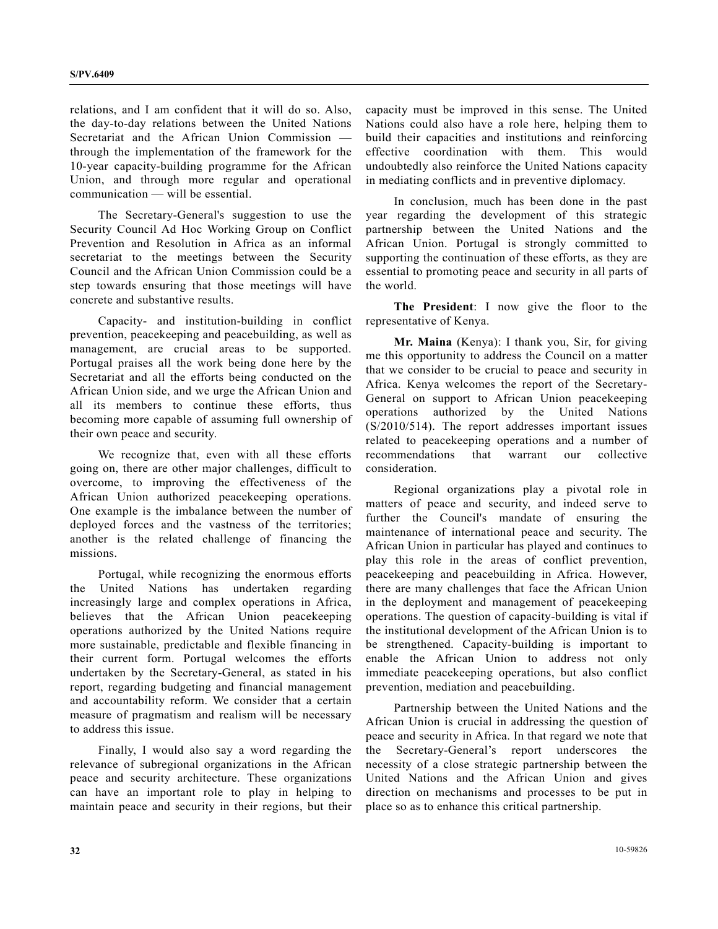relations, and I am confident that it will do so. Also, the day-to-day relations between the United Nations Secretariat and the African Union Commission through the implementation of the framework for the 10-year capacity-building programme for the African Union, and through more regular and operational communication — will be essential.

 The Secretary-General's suggestion to use the Security Council Ad Hoc Working Group on Conflict Prevention and Resolution in Africa as an informal secretariat to the meetings between the Security Council and the African Union Commission could be a step towards ensuring that those meetings will have concrete and substantive results.

 Capacity- and institution-building in conflict prevention, peacekeeping and peacebuilding, as well as management, are crucial areas to be supported. Portugal praises all the work being done here by the Secretariat and all the efforts being conducted on the African Union side, and we urge the African Union and all its members to continue these efforts, thus becoming more capable of assuming full ownership of their own peace and security.

 We recognize that, even with all these efforts going on, there are other major challenges, difficult to overcome, to improving the effectiveness of the African Union authorized peacekeeping operations. One example is the imbalance between the number of deployed forces and the vastness of the territories; another is the related challenge of financing the missions.

 Portugal, while recognizing the enormous efforts the United Nations has undertaken regarding increasingly large and complex operations in Africa, believes that the African Union peacekeeping operations authorized by the United Nations require more sustainable, predictable and flexible financing in their current form. Portugal welcomes the efforts undertaken by the Secretary-General, as stated in his report, regarding budgeting and financial management and accountability reform. We consider that a certain measure of pragmatism and realism will be necessary to address this issue.

 Finally, I would also say a word regarding the relevance of subregional organizations in the African peace and security architecture. These organizations can have an important role to play in helping to maintain peace and security in their regions, but their capacity must be improved in this sense. The United Nations could also have a role here, helping them to build their capacities and institutions and reinforcing effective coordination with them. This would undoubtedly also reinforce the United Nations capacity in mediating conflicts and in preventive diplomacy.

 In conclusion, much has been done in the past year regarding the development of this strategic partnership between the United Nations and the African Union. Portugal is strongly committed to supporting the continuation of these efforts, as they are essential to promoting peace and security in all parts of the world.

**The President**: I now give the floor to the representative of Kenya.

**Mr. Maina** (Kenya): I thank you, Sir, for giving me this opportunity to address the Council on a matter that we consider to be crucial to peace and security in Africa. Kenya welcomes the report of the Secretary-General on support to African Union peacekeeping operations authorized by the United Nations (S/2010/514). The report addresses important issues related to peacekeeping operations and a number of recommendations that warrant our collective consideration.

 Regional organizations play a pivotal role in matters of peace and security, and indeed serve to further the Council's mandate of ensuring the maintenance of international peace and security. The African Union in particular has played and continues to play this role in the areas of conflict prevention, peacekeeping and peacebuilding in Africa. However, there are many challenges that face the African Union in the deployment and management of peacekeeping operations. The question of capacity-building is vital if the institutional development of the African Union is to be strengthened. Capacity-building is important to enable the African Union to address not only immediate peacekeeping operations, but also conflict prevention, mediation and peacebuilding.

 Partnership between the United Nations and the African Union is crucial in addressing the question of peace and security in Africa. In that regard we note that the Secretary-General's report underscores the necessity of a close strategic partnership between the United Nations and the African Union and gives direction on mechanisms and processes to be put in place so as to enhance this critical partnership.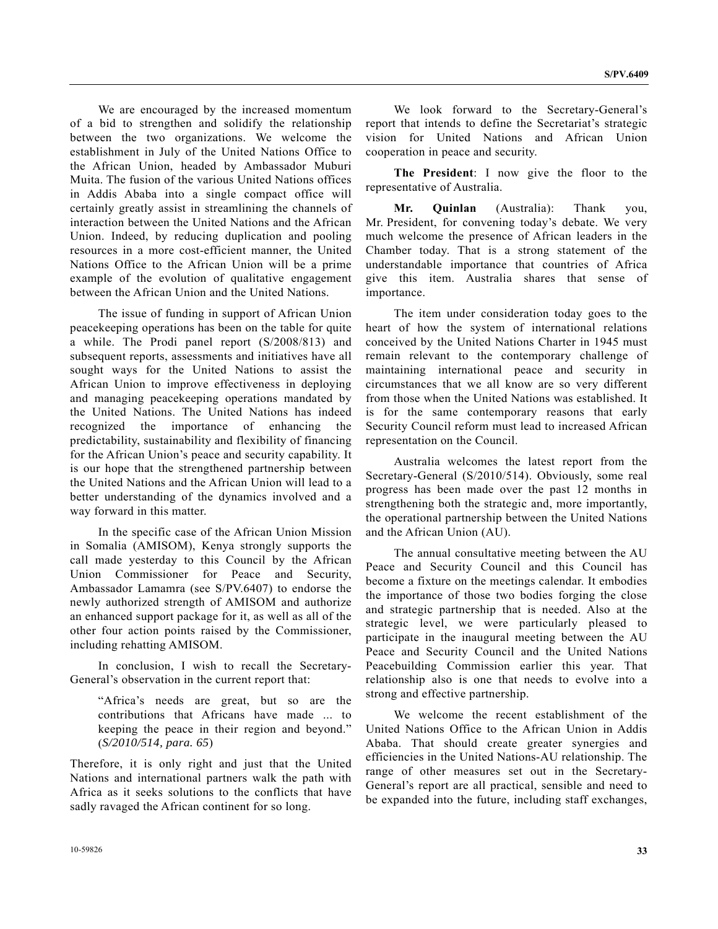We are encouraged by the increased momentum of a bid to strengthen and solidify the relationship between the two organizations. We welcome the establishment in July of the United Nations Office to the African Union, headed by Ambassador Muburi Muita. The fusion of the various United Nations offices in Addis Ababa into a single compact office will certainly greatly assist in streamlining the channels of interaction between the United Nations and the African Union. Indeed, by reducing duplication and pooling resources in a more cost-efficient manner, the United Nations Office to the African Union will be a prime example of the evolution of qualitative engagement between the African Union and the United Nations.

 The issue of funding in support of African Union peacekeeping operations has been on the table for quite a while. The Prodi panel report (S/2008/813) and subsequent reports, assessments and initiatives have all sought ways for the United Nations to assist the African Union to improve effectiveness in deploying and managing peacekeeping operations mandated by the United Nations. The United Nations has indeed recognized the importance of enhancing the predictability, sustainability and flexibility of financing for the African Union's peace and security capability. It is our hope that the strengthened partnership between the United Nations and the African Union will lead to a better understanding of the dynamics involved and a way forward in this matter.

 In the specific case of the African Union Mission in Somalia (AMISOM), Kenya strongly supports the call made yesterday to this Council by the African Union Commissioner for Peace and Security, Ambassador Lamamra (see S/PV.6407) to endorse the newly authorized strength of AMISOM and authorize an enhanced support package for it, as well as all of the other four action points raised by the Commissioner, including rehatting AMISOM.

 In conclusion, I wish to recall the Secretary-General's observation in the current report that:

"Africa's needs are great, but so are the contributions that Africans have made ... to keeping the peace in their region and beyond." (*S/2010/514, para. 65*)

Therefore, it is only right and just that the United Nations and international partners walk the path with Africa as it seeks solutions to the conflicts that have sadly ravaged the African continent for so long.

 We look forward to the Secretary-General's report that intends to define the Secretariat's strategic vision for United Nations and African Union cooperation in peace and security.

**The President**: I now give the floor to the representative of Australia.

**Mr. Quinlan** (Australia): Thank you, Mr. President, for convening today's debate. We very much welcome the presence of African leaders in the Chamber today. That is a strong statement of the understandable importance that countries of Africa give this item. Australia shares that sense of importance.

 The item under consideration today goes to the heart of how the system of international relations conceived by the United Nations Charter in 1945 must remain relevant to the contemporary challenge of maintaining international peace and security in circumstances that we all know are so very different from those when the United Nations was established. It is for the same contemporary reasons that early Security Council reform must lead to increased African representation on the Council.

 Australia welcomes the latest report from the Secretary-General (S/2010/514). Obviously, some real progress has been made over the past 12 months in strengthening both the strategic and, more importantly, the operational partnership between the United Nations and the African Union (AU).

 The annual consultative meeting between the AU Peace and Security Council and this Council has become a fixture on the meetings calendar. It embodies the importance of those two bodies forging the close and strategic partnership that is needed. Also at the strategic level, we were particularly pleased to participate in the inaugural meeting between the AU Peace and Security Council and the United Nations Peacebuilding Commission earlier this year. That relationship also is one that needs to evolve into a strong and effective partnership.

 We welcome the recent establishment of the United Nations Office to the African Union in Addis Ababa. That should create greater synergies and efficiencies in the United Nations-AU relationship. The range of other measures set out in the Secretary-General's report are all practical, sensible and need to be expanded into the future, including staff exchanges,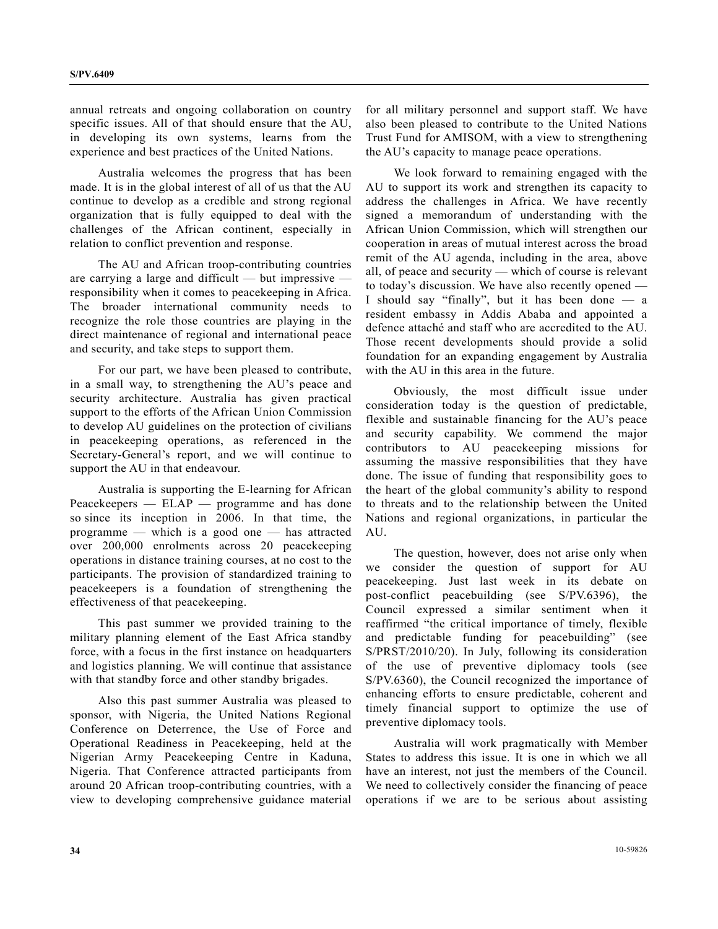annual retreats and ongoing collaboration on country specific issues. All of that should ensure that the AU, in developing its own systems, learns from the experience and best practices of the United Nations.

 Australia welcomes the progress that has been made. It is in the global interest of all of us that the AU continue to develop as a credible and strong regional organization that is fully equipped to deal with the challenges of the African continent, especially in relation to conflict prevention and response.

 The AU and African troop-contributing countries are carrying a large and difficult — but impressive responsibility when it comes to peacekeeping in Africa. The broader international community needs to recognize the role those countries are playing in the direct maintenance of regional and international peace and security, and take steps to support them.

 For our part, we have been pleased to contribute, in a small way, to strengthening the AU's peace and security architecture. Australia has given practical support to the efforts of the African Union Commission to develop AU guidelines on the protection of civilians in peacekeeping operations, as referenced in the Secretary-General's report, and we will continue to support the AU in that endeavour.

 Australia is supporting the E-learning for African Peacekeepers — ELAP — programme and has done so since its inception in 2006. In that time, the programme — which is a good one — has attracted over 200,000 enrolments across 20 peacekeeping operations in distance training courses, at no cost to the participants. The provision of standardized training to peacekeepers is a foundation of strengthening the effectiveness of that peacekeeping.

 This past summer we provided training to the military planning element of the East Africa standby force, with a focus in the first instance on headquarters and logistics planning. We will continue that assistance with that standby force and other standby brigades.

 Also this past summer Australia was pleased to sponsor, with Nigeria, the United Nations Regional Conference on Deterrence, the Use of Force and Operational Readiness in Peacekeeping, held at the Nigerian Army Peacekeeping Centre in Kaduna, Nigeria. That Conference attracted participants from around 20 African troop-contributing countries, with a view to developing comprehensive guidance material

for all military personnel and support staff. We have also been pleased to contribute to the United Nations Trust Fund for AMISOM, with a view to strengthening the AU's capacity to manage peace operations.

 We look forward to remaining engaged with the AU to support its work and strengthen its capacity to address the challenges in Africa. We have recently signed a memorandum of understanding with the African Union Commission, which will strengthen our cooperation in areas of mutual interest across the broad remit of the AU agenda, including in the area, above all, of peace and security — which of course is relevant to today's discussion. We have also recently opened — I should say "finally", but it has been done — a resident embassy in Addis Ababa and appointed a defence attaché and staff who are accredited to the AU. Those recent developments should provide a solid foundation for an expanding engagement by Australia with the AU in this area in the future.

 Obviously, the most difficult issue under consideration today is the question of predictable, flexible and sustainable financing for the AU's peace and security capability. We commend the major contributors to AU peacekeeping missions for assuming the massive responsibilities that they have done. The issue of funding that responsibility goes to the heart of the global community's ability to respond to threats and to the relationship between the United Nations and regional organizations, in particular the AU.

 The question, however, does not arise only when we consider the question of support for AU peacekeeping. Just last week in its debate on post-conflict peacebuilding (see S/PV.6396), the Council expressed a similar sentiment when it reaffirmed "the critical importance of timely, flexible and predictable funding for peacebuilding" (see S/PRST/2010/20). In July, following its consideration of the use of preventive diplomacy tools (see S/PV.6360), the Council recognized the importance of enhancing efforts to ensure predictable, coherent and timely financial support to optimize the use of preventive diplomacy tools.

 Australia will work pragmatically with Member States to address this issue. It is one in which we all have an interest, not just the members of the Council. We need to collectively consider the financing of peace operations if we are to be serious about assisting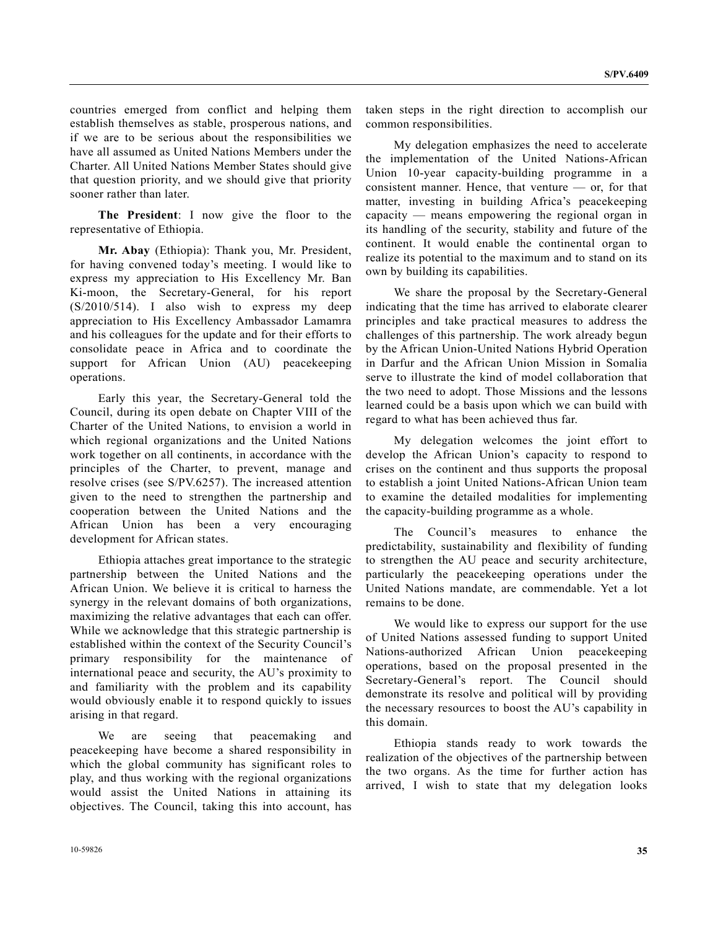countries emerged from conflict and helping them establish themselves as stable, prosperous nations, and if we are to be serious about the responsibilities we have all assumed as United Nations Members under the Charter. All United Nations Member States should give that question priority, and we should give that priority sooner rather than later.

 **The President**: I now give the floor to the representative of Ethiopia.

 **Mr. Abay** (Ethiopia): Thank you, Mr. President, for having convened today's meeting. I would like to express my appreciation to His Excellency Mr. Ban Ki-moon, the Secretary-General, for his report (S/2010/514). I also wish to express my deep appreciation to His Excellency Ambassador Lamamra and his colleagues for the update and for their efforts to consolidate peace in Africa and to coordinate the support for African Union (AU) peacekeeping operations.

 Early this year, the Secretary-General told the Council, during its open debate on Chapter VIII of the Charter of the United Nations, to envision a world in which regional organizations and the United Nations work together on all continents, in accordance with the principles of the Charter, to prevent, manage and resolve crises (see S/PV.6257). The increased attention given to the need to strengthen the partnership and cooperation between the United Nations and the African Union has been a very encouraging development for African states.

 Ethiopia attaches great importance to the strategic partnership between the United Nations and the African Union. We believe it is critical to harness the synergy in the relevant domains of both organizations, maximizing the relative advantages that each can offer. While we acknowledge that this strategic partnership is established within the context of the Security Council's primary responsibility for the maintenance of international peace and security, the AU's proximity to and familiarity with the problem and its capability would obviously enable it to respond quickly to issues arising in that regard.

 We are seeing that peacemaking and peacekeeping have become a shared responsibility in which the global community has significant roles to play, and thus working with the regional organizations would assist the United Nations in attaining its objectives. The Council, taking this into account, has

taken steps in the right direction to accomplish our common responsibilities.

 My delegation emphasizes the need to accelerate the implementation of the United Nations-African Union 10-year capacity-building programme in a consistent manner. Hence, that venture — or, for that matter, investing in building Africa's peacekeeping capacity — means empowering the regional organ in its handling of the security, stability and future of the continent. It would enable the continental organ to realize its potential to the maximum and to stand on its own by building its capabilities.

 We share the proposal by the Secretary-General indicating that the time has arrived to elaborate clearer principles and take practical measures to address the challenges of this partnership. The work already begun by the African Union-United Nations Hybrid Operation in Darfur and the African Union Mission in Somalia serve to illustrate the kind of model collaboration that the two need to adopt. Those Missions and the lessons learned could be a basis upon which we can build with regard to what has been achieved thus far.

 My delegation welcomes the joint effort to develop the African Union's capacity to respond to crises on the continent and thus supports the proposal to establish a joint United Nations-African Union team to examine the detailed modalities for implementing the capacity-building programme as a whole.

 The Council's measures to enhance the predictability, sustainability and flexibility of funding to strengthen the AU peace and security architecture, particularly the peacekeeping operations under the United Nations mandate, are commendable. Yet a lot remains to be done.

 We would like to express our support for the use of United Nations assessed funding to support United Nations-authorized African Union peacekeeping operations, based on the proposal presented in the Secretary-General's report. The Council should demonstrate its resolve and political will by providing the necessary resources to boost the AU's capability in this domain.

 Ethiopia stands ready to work towards the realization of the objectives of the partnership between the two organs. As the time for further action has arrived, I wish to state that my delegation looks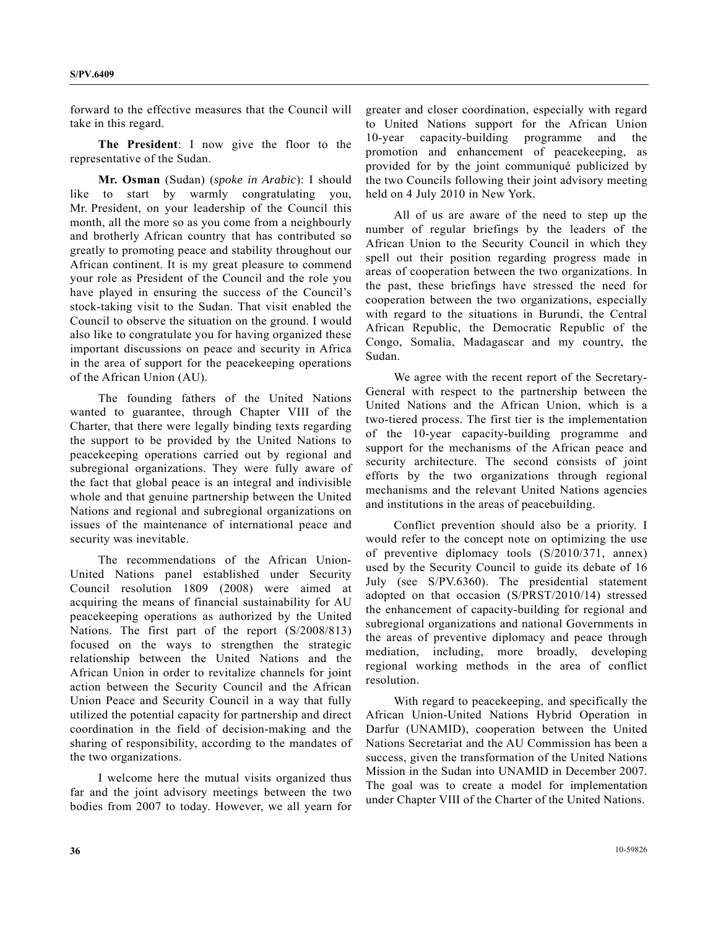forward to the effective measures that the Council will take in this regard.

 **The President**: I now give the floor to the representative of the Sudan.

 **Mr. Osman** (Sudan) (*spoke in Arabic*): I should like to start by warmly congratulating you, Mr. President, on your leadership of the Council this month, all the more so as you come from a neighbourly and brotherly African country that has contributed so greatly to promoting peace and stability throughout our African continent. It is my great pleasure to commend your role as President of the Council and the role you have played in ensuring the success of the Council's stock-taking visit to the Sudan. That visit enabled the Council to observe the situation on the ground. I would also like to congratulate you for having organized these important discussions on peace and security in Africa in the area of support for the peacekeeping operations of the African Union (AU).

 The founding fathers of the United Nations wanted to guarantee, through Chapter VIII of the Charter, that there were legally binding texts regarding the support to be provided by the United Nations to peacekeeping operations carried out by regional and subregional organizations. They were fully aware of the fact that global peace is an integral and indivisible whole and that genuine partnership between the United Nations and regional and subregional organizations on issues of the maintenance of international peace and security was inevitable.

 The recommendations of the African Union-United Nations panel established under Security Council resolution 1809 (2008) were aimed at acquiring the means of financial sustainability for AU peacekeeping operations as authorized by the United Nations. The first part of the report (S/2008/813) focused on the ways to strengthen the strategic relationship between the United Nations and the African Union in order to revitalize channels for joint action between the Security Council and the African Union Peace and Security Council in a way that fully utilized the potential capacity for partnership and direct coordination in the field of decision-making and the sharing of responsibility, according to the mandates of the two organizations.

 I welcome here the mutual visits organized thus far and the joint advisory meetings between the two bodies from 2007 to today. However, we all yearn for greater and closer coordination, especially with regard to United Nations support for the African Union 10-year capacity-building programme and the promotion and enhancement of peacekeeping, as provided for by the joint communiqué publicized by the two Councils following their joint advisory meeting held on 4 July 2010 in New York.

 All of us are aware of the need to step up the number of regular briefings by the leaders of the African Union to the Security Council in which they spell out their position regarding progress made in areas of cooperation between the two organizations. In the past, these briefings have stressed the need for cooperation between the two organizations, especially with regard to the situations in Burundi, the Central African Republic, the Democratic Republic of the Congo, Somalia, Madagascar and my country, the Sudan.

 We agree with the recent report of the Secretary-General with respect to the partnership between the United Nations and the African Union, which is a two-tiered process. The first tier is the implementation of the 10-year capacity-building programme and support for the mechanisms of the African peace and security architecture. The second consists of joint efforts by the two organizations through regional mechanisms and the relevant United Nations agencies and institutions in the areas of peacebuilding.

 Conflict prevention should also be a priority. I would refer to the concept note on optimizing the use of preventive diplomacy tools (S/2010/371, annex) used by the Security Council to guide its debate of 16 July (see S/PV.6360). The presidential statement adopted on that occasion (S/PRST/2010/14) stressed the enhancement of capacity-building for regional and subregional organizations and national Governments in the areas of preventive diplomacy and peace through mediation, including, more broadly, developing regional working methods in the area of conflict resolution.

 With regard to peacekeeping, and specifically the African Union-United Nations Hybrid Operation in Darfur (UNAMID), cooperation between the United Nations Secretariat and the AU Commission has been a success, given the transformation of the United Nations Mission in the Sudan into UNAMID in December 2007. The goal was to create a model for implementation under Chapter VIII of the Charter of the United Nations.